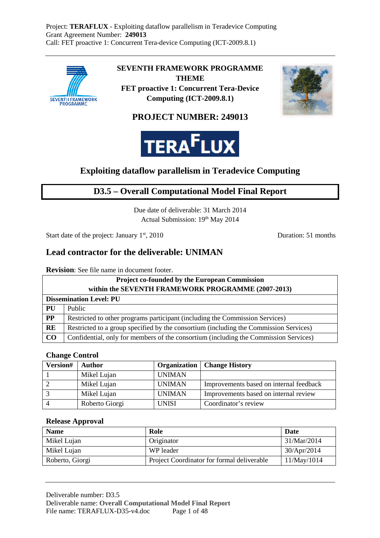

**SEVENTH FRAMEWORK PROGRAMME THEME** 

**FET proactive 1: Concurrent Tera-Device Computing (ICT-2009.8.1)** 



## **PROJECT NUMBER: 249013**



# **Exploiting dataflow parallelism in Teradevice Computing**

# **D3.5 – Overall Computational Model Final Report**

Due date of deliverable: 31 March 2014 Actual Submission: 19th May 2014

Start date of the project: January 1<sup>st</sup>, 2010 Duration: 51 months

## **Lead contractor for the deliverable: UNIMAN**

**Revision**: See file name in document footer.

| <b>Project co-founded by the European Commission</b> |                                                                                       |  |  |
|------------------------------------------------------|---------------------------------------------------------------------------------------|--|--|
| within the SEVENTH FRAMEWORK PROGRAMME (2007-2013)   |                                                                                       |  |  |
|                                                      | <b>Dissemination Level: PU</b>                                                        |  |  |
| <b>PU</b>                                            | Public                                                                                |  |  |
| $\bf PP$                                             | Restricted to other programs participant (including the Commission Services)          |  |  |
| RE                                                   | Restricted to a group specified by the consortium (including the Commission Services) |  |  |
| CO                                                   | Confidential, only for members of the consortium (including the Commission Services)  |  |  |

### **Change Control**

| Version#       | Author         | <b>Organization</b> | <b>Change History</b>                   |
|----------------|----------------|---------------------|-----------------------------------------|
|                | Mikel Lujan    | <b>UNIMAN</b>       |                                         |
|                | Mikel Lujan    | <b>UNIMAN</b>       | Improvements based on internal feedback |
|                | Mikel Lujan    | <b>UNIMAN</b>       | Improvements based on internal review   |
| $\overline{4}$ | Roberto Giorgi | <b>UNISI</b>        | Coordinator's review                    |

### **Release Approval**

| <b>Name</b>     | Role                                       | Date        |
|-----------------|--------------------------------------------|-------------|
| Mikel Lujan     | Originator                                 | 31/Mar/2014 |
| Mikel Lujan     | WP leader                                  | 30/Apr/2014 |
| Roberto, Giorgi | Project Coordinator for formal deliverable | 11/May/1014 |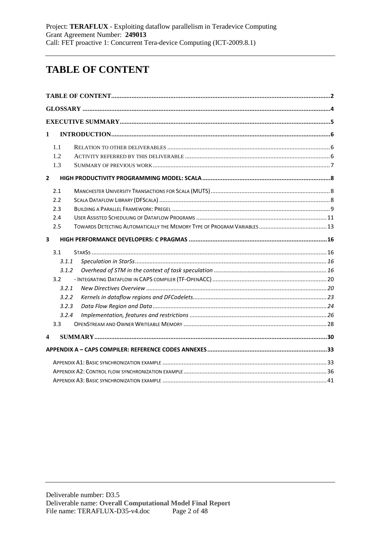# **TABLE OF CONTENT**

| $\mathbf{1}$   |       |  |
|----------------|-------|--|
|                | 1.1   |  |
|                | 1.2   |  |
|                | 1.3   |  |
| $\overline{2}$ |       |  |
|                | 2.1   |  |
|                | 2.2   |  |
|                | 2.3   |  |
|                | 2.4   |  |
|                | 2.5   |  |
| 3              |       |  |
|                | 3.1   |  |
|                | 3.1.1 |  |
|                | 3.1.2 |  |
|                | 3.2   |  |
|                | 3.2.1 |  |
|                | 3.2.2 |  |
|                | 3.2.3 |  |
|                | 3.2.4 |  |
|                | 3.3   |  |
| 4              |       |  |
|                |       |  |
|                |       |  |
|                |       |  |
|                |       |  |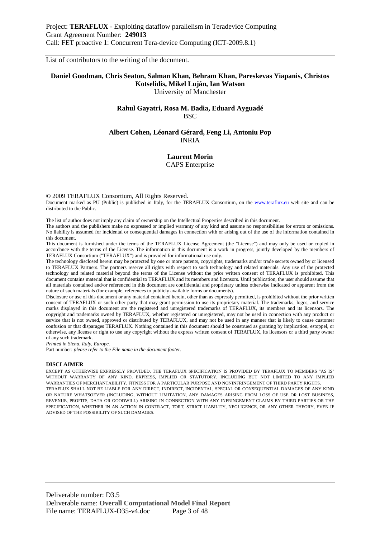List of contributors to the writing of the document.

#### **Daniel Goodman, Chris Seaton, Salman Khan, Behram Khan, Pareskevas Yiapanis, Christos Kotselidis, Mikel Luján, Ian Watson**  University of Manchester

#### **Rahul Gayatri, Rosa M. Badia, Eduard Ayguadé BSC**

#### **Albert Cohen, Léonard Gérard, Feng Li, Antoniu Pop**  INRIA

#### **Laurent Morin**  CAPS Enterprise

© 2009 TERAFLUX Consortium, All Rights Reserved.

Document marked as PU (Public) is published in Italy, for the TERAFLUX Consortium, on the www.teraflux.eu web site and can be distributed to the Public.

The list of author does not imply any claim of ownership on the Intellectual Properties described in this document.

The authors and the publishers make no expressed or implied warranty of any kind and assume no responsibilities for errors or omissions. No liability is assumed for incidental or consequential damages in connection with or arising out of the use of the information contained in this document.

This document is furnished under the terms of the TERAFLUX License Agreement (the "License") and may only be used or copied in accordance with the terms of the License. The information in this document is a work in progress, jointly developed by the members of TERAFLUX Consortium ("TERAFLUX") and is provided for informational use only.

The technology disclosed herein may be protected by one or more patents, copyrights, trademarks and/or trade secrets owned by or licensed to TERAFLUX Partners. The partners reserve all rights with respect to such technology and related materials. Any use of the protected technology and related material beyond the terms of the License without the prior written consent of TERAFLUX is prohibited. This document contains material that is confidential to TERAFLUX and its members and licensors. Until publication, the user should assume that all materials contained and/or referenced in this document are confidential and proprietary unless otherwise indicated or apparent from the nature of such materials (for example, references to publicly available forms or documents).

Disclosure or use of this document or any material contained herein, other than as expressly permitted, is prohibited without the prior written consent of TERAFLUX or such other party that may grant permission to use its proprietary material. The trademarks, logos, and service marks displayed in this document are the registered and unregistered trademarks of TERAFLUX, its members and its licensors. The copyright and trademarks owned by TERAFLUX, whether registered or unregistered, may not be used in connection with any product or service that is not owned, approved or distributed by TERAFLUX, and may not be used in any manner that is likely to cause customer confusion or that disparages TERAFLUX. Nothing contained in this document should be construed as granting by implication, estoppel, or otherwise, any license or right to use any copyright without the express written consent of TERAFLUX, its licensors or a third party owner of any such trademark.

*Printed in Siena, Italy, Europe.* 

Part number: *please refer to the File name in the document footer*.

#### **DISCLAIMER**

EXCEPT AS OTHERWISE EXPRESSLY PROVIDED, THE TERAFLUX SPECIFICATION IS PROVIDED BY TERAFLUX TO MEMBERS "AS IS" WITHOUT WARRANTY OF ANY KIND, EXPRESS, IMPLIED OR STATUTORY, INCLUDING BUT NOT LIMITED TO ANY IMPLIED WARRANTIES OF MERCHANTABILITY, FITNESS FOR A PARTICULAR PURPOSE AND NONINFRINGEMENT OF THIRD PARTY RIGHTS. TERAFLUX SHALL NOT BE LIABLE FOR ANY DIRECT, INDIRECT, INCIDENTAL, SPECIAL OR CONSEQUENTIAL DAMAGES OF ANY KIND OR NATURE WHATSOEVER (INCLUDING, WITHOUT LIMITATION, ANY DAMAGES ARISING FROM LOSS OF USE OR LOST BUSINESS, REVENUE, PROFITS, DATA OR GOODWILL) ARISING IN CONNECTION WITH ANY INFRINGEMENT CLAIMS BY THIRD PARTIES OR THE SPECIFICATION, WHETHER IN AN ACTION IN CONTRACT, TORT, STRICT LIABILITY, NEGLIGENCE, OR ANY OTHER THEORY, EVEN IF ADVISED OF THE POSSIBILITY OF SUCH DAMAGES.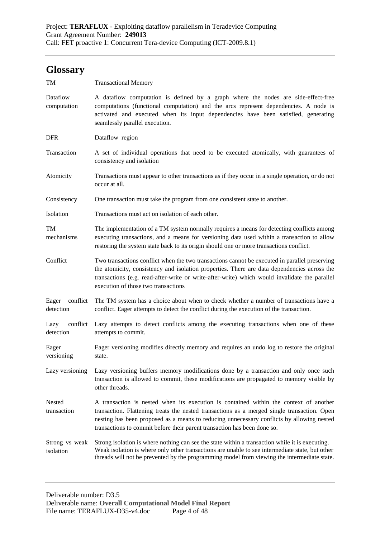# **Glossary**

| TM                             | <b>Transactional Memory</b>                                                                                                                                                                                                                                                                                                                                   |  |  |  |
|--------------------------------|---------------------------------------------------------------------------------------------------------------------------------------------------------------------------------------------------------------------------------------------------------------------------------------------------------------------------------------------------------------|--|--|--|
| Dataflow<br>computation        | A data flow computation is defined by a graph where the nodes are side-effect-free<br>computations (functional computation) and the arcs represent dependencies. A node is<br>activated and executed when its input dependencies have been satisfied, generating<br>seamlessly parallel execution.                                                            |  |  |  |
| <b>DFR</b>                     | Dataflow region                                                                                                                                                                                                                                                                                                                                               |  |  |  |
| Transaction                    | A set of individual operations that need to be executed atomically, with guarantees of<br>consistency and isolation                                                                                                                                                                                                                                           |  |  |  |
| Atomicity                      | Transactions must appear to other transactions as if they occur in a single operation, or do not<br>occur at all.                                                                                                                                                                                                                                             |  |  |  |
| Consistency                    | One transaction must take the program from one consistent state to another.                                                                                                                                                                                                                                                                                   |  |  |  |
| Isolation                      | Transactions must act on isolation of each other.                                                                                                                                                                                                                                                                                                             |  |  |  |
| TM<br>mechanisms               | The implementation of a TM system normally requires a means for detecting conflicts among<br>executing transactions, and a means for versioning data used within a transaction to allow<br>restoring the system state back to its origin should one or more transactions conflict.                                                                            |  |  |  |
| Conflict                       | Two transactions conflict when the two transactions cannot be executed in parallel preserving<br>the atomicity, consistency and isolation properties. There are data dependencies across the<br>transactions (e.g. read-after-write or write-after-write) which would invalidate the parallel<br>execution of those two transactions                          |  |  |  |
| conflict<br>Eager<br>detection | The TM system has a choice about when to check whether a number of transactions have a<br>conflict. Eager attempts to detect the conflict during the execution of the transaction.                                                                                                                                                                            |  |  |  |
| conflict<br>Lazy<br>detection  | Lazy attempts to detect conflicts among the executing transactions when one of these<br>attempts to commit.                                                                                                                                                                                                                                                   |  |  |  |
| Eager<br>versioning            | Eager versioning modifies directly memory and requires an undo log to restore the original<br>state.                                                                                                                                                                                                                                                          |  |  |  |
| Lazy versioning                | Lazy versioning buffers memory modifications done by a transaction and only once such<br>transaction is allowed to commit, these modifications are propagated to memory visible by<br>other threads.                                                                                                                                                          |  |  |  |
| Nested<br>transaction          | A transaction is nested when its execution is contained within the context of another<br>transaction. Flattening treats the nested transactions as a merged single transaction. Open<br>nesting has been proposed as a means to reducing unnecessary conflicts by allowing nested<br>transactions to commit before their parent transaction has been done so. |  |  |  |
| Strong vs weak<br>isolation    | Strong isolation is where nothing can see the state within a transaction while it is executing.<br>Weak isolation is where only other transactions are unable to see intermediate state, but other<br>threads will not be prevented by the programming model from viewing the intermediate state.                                                             |  |  |  |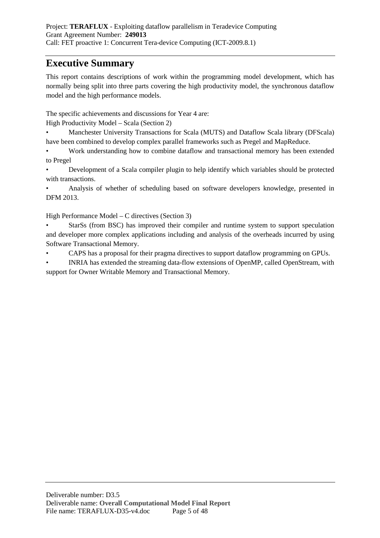# **Executive Summary**

This report contains descriptions of work within the programming model development, which has normally being split into three parts covering the high productivity model, the synchronous dataflow model and the high performance models.

The specific achievements and discussions for Year 4 are:

High Productivity Model – Scala (Section 2)

• Manchester University Transactions for Scala (MUTS) and Dataflow Scala library (DFScala) have been combined to develop complex parallel frameworks such as Pregel and MapReduce.

• Work understanding how to combine dataflow and transactional memory has been extended to Pregel

• Development of a Scala compiler plugin to help identify which variables should be protected with transactions.

• Analysis of whether of scheduling based on software developers knowledge, presented in DFM 2013.

High Performance Model – C directives (Section 3)

• StarSs (from BSC) has improved their compiler and runtime system to support speculation and developer more complex applications including and analysis of the overheads incurred by using Software Transactional Memory.

• CAPS has a proposal for their pragma directives to support dataflow programming on GPUs.

• INRIA has extended the streaming data-flow extensions of OpenMP, called OpenStream, with support for Owner Writable Memory and Transactional Memory.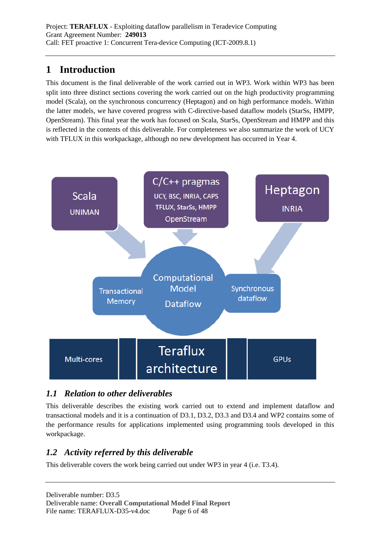# **1 Introduction**

This document is the final deliverable of the work carried out in WP3. Work within WP3 has been split into three distinct sections covering the work carried out on the high productivity programming model (Scala), on the synchronous concurrency (Heptagon) and on high performance models. Within the latter models, we have covered progress with C-directive-based dataflow models (StarSs, HMPP, OpenStream). This final year the work has focused on Scala, StarSs, OpenStream and HMPP and this is reflected in the contents of this deliverable. For completeness we also summarize the work of UCY with TFLUX in this workpackage, although no new development has occurred in Year 4.



# *1.1 Relation to other deliverables*

This deliverable describes the existing work carried out to extend and implement dataflow and transactional models and it is a continuation of D3.1, D3.2, D3.3 and D3.4 and WP2 contains some of the performance results for applications implemented using programming tools developed in this workpackage.

# *1.2 Activity referred by this deliverable*

This deliverable covers the work being carried out under WP3 in year 4 (i.e. T3.4).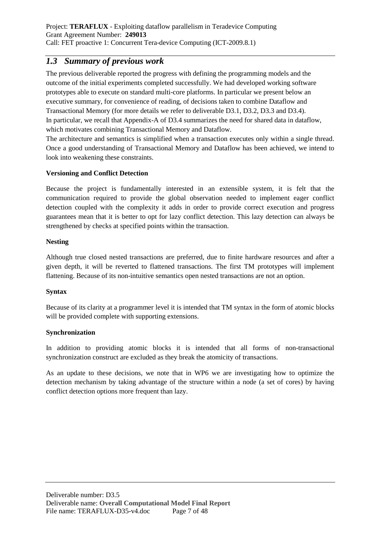### *1.3 Summary of previous work*

The previous deliverable reported the progress with defining the programming models and the outcome of the initial experiments completed successfully. We had developed working software prototypes able to execute on standard multi-core platforms. In particular we present below an executive summary, for convenience of reading, of decisions taken to combine Dataflow and Transactional Memory (for more details we refer to deliverable D3.1, D3.2, D3.3 and D3.4). In particular, we recall that Appendix-A of D3.4 summarizes the need for shared data in dataflow, which motivates combining Transactional Memory and Dataflow.

The architecture and semantics is simplified when a transaction executes only within a single thread. Once a good understanding of Transactional Memory and Dataflow has been achieved, we intend to look into weakening these constraints.

### **Versioning and Conflict Detection**

Because the project is fundamentally interested in an extensible system, it is felt that the communication required to provide the global observation needed to implement eager conflict detection coupled with the complexity it adds in order to provide correct execution and progress guarantees mean that it is better to opt for lazy conflict detection. This lazy detection can always be strengthened by checks at specified points within the transaction.

### **Nesting**

Although true closed nested transactions are preferred, due to finite hardware resources and after a given depth, it will be reverted to flattened transactions. The first TM prototypes will implement flattening. Because of its non-intuitive semantics open nested transactions are not an option.

### **Syntax**

Because of its clarity at a programmer level it is intended that TM syntax in the form of atomic blocks will be provided complete with supporting extensions.

### **Synchronization**

In addition to providing atomic blocks it is intended that all forms of non-transactional synchronization construct are excluded as they break the atomicity of transactions.

As an update to these decisions, we note that in WP6 we are investigating how to optimize the detection mechanism by taking advantage of the structure within a node (a set of cores) by having conflict detection options more frequent than lazy.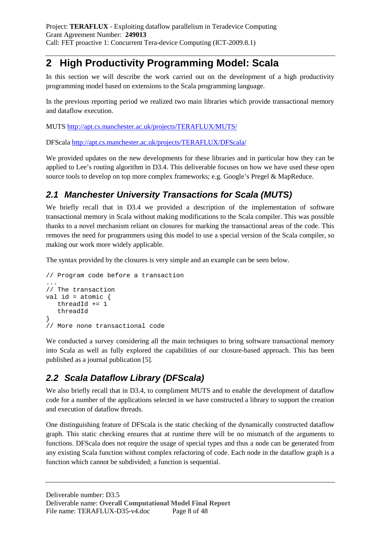# **2 High Productivity Programming Model: Scala**

In this section we will describe the work carried out on the development of a high productivity programming model based on extensions to the Scala programming language.

In the previous reporting period we realized two main libraries which provide transactional memory and dataflow execution.

MUTS http://apt.cs.manchester.ac.uk/projects/TERAFLUX/MUTS/

DFScala http://apt.cs.manchester.ac.uk/projects/TERAFLUX/DFScala/

We provided updates on the new developments for these libraries and in particular how they can be applied to Lee's routing algorithm in D3.4. This deliverable focuses on how we have used these open source tools to develop on top more complex frameworks; e.g. Google's Pregel & MapReduce.

# **2.1 Manchester University Transactions for Scala (MUTS)**

We briefly recall that in D3.4 we provided a description of the implementation of software transactional memory in Scala without making modifications to the Scala compiler. This was possible thanks to a novel mechanism reliant on closures for marking the transactional areas of the code. This removes the need for programmers using this model to use a special version of the Scala compiler, so making our work more widely applicable.

The syntax provided by the closures is very simple and an example can be seen below.

```
// Program code before a transaction 
... 
// The transaction 
val id = atomic \{ threadId += 1 
    threadId 
} 
// More none transactional code
```
We conducted a survey considering all the main techniques to bring software transactional memory into Scala as well as fully explored the capabilities of our closure-based approach. This has been published as a journal publication [5].

# **2.2 Scala Dataflow Library (DFScala)**

We also briefly recall that in D3.4, to compliment MUTS and to enable the development of dataflow code for a number of the applications selected in we have constructed a library to support the creation and execution of dataflow threads.

One distinguishing feature of DFScala is the static checking of the dynamically constructed dataflow graph. This static checking ensures that at runtime there will be no mismatch of the arguments to functions. DFScala does not require the usage of special types and thus a node can be generated from any existing Scala function without complex refactoring of code. Each node in the dataflow graph is a function which cannot be subdivided; a function is sequential.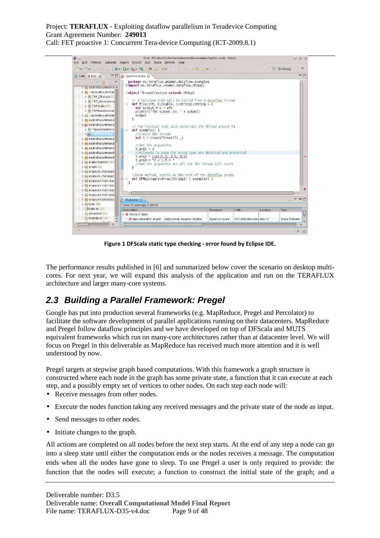Call: FET proactive 1: Concurrent Tera-device Computing (ICT-2009.8.1)



**Figure 1 DFScala static type checking - error found by Eclipse IDE.** 

The performance results published in [6] and summarized below cover the scenario on desktop multicores. For next year, we will expand this analysis of the application and run on the TERAFLUX architecture and larger many-core systems.

# **2.3 Building a Parallel Framework: Pregel**

Google has put into production several frameworks (e.g. MapReduce, Pregel and Percolator) to facilitate the software development of parallel applications running on their datacenters. MapReduce and Pregel follow dataflow principles and we have developed on top of DFScala and MUTS equivalent frameworks which run on many-core architectures rather than at datacenter level. We will focus on Pregel in this deliverable as MapReduce has received much more attention and it is well understood by now.

Pregel targets at stepwise graph based computations. With this framework a graph structure is constructed where each node in the graph has some private state, a function that it can execute at each step, and a possibly empty set of vertices to other nodes. On each step each node will:

- Receive messages from other nodes.
- Execute the nodes function taking any received messages and the private state of the node as input.
- Send messages to other nodes.
- Initiate changes to the graph.

All actions are completed on all nodes before the next step starts. At the end of any step a node can go into a sleep state until either the computation ends or the nodes receives a message. The computation ends when all the nodes have gone to sleep. To use Pregel a user is only required to provide: the function that the nodes will execute; a function to construct the initial state of the graph; and a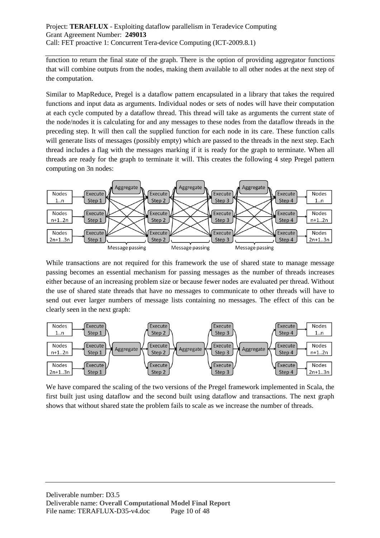function to return the final state of the graph. There is the option of providing aggregator functions that will combine outputs from the nodes, making them available to all other nodes at the next step of the computation.

Similar to MapReduce, Pregel is a dataflow pattern encapsulated in a library that takes the required functions and input data as arguments. Individual nodes or sets of nodes will have their computation at each cycle computed by a dataflow thread. This thread will take as arguments the current state of the node/nodes it is calculating for and any messages to these nodes from the dataflow threads in the preceding step. It will then call the supplied function for each node in its care. These function calls will generate lists of messages (possibly empty) which are passed to the threads in the next step. Each thread includes a flag with the messages marking if it is ready for the graph to terminate. When all threads are ready for the graph to terminate it will. This creates the following 4 step Pregel pattern computing on 3n nodes:



While transactions are not required for this framework the use of shared state to manage message passing becomes an essential mechanism for passing messages as the number of threads increases either because of an increasing problem size or because fewer nodes are evaluated per thread. Without the use of shared state threads that have no messages to communicate to other threads will have to send out ever larger numbers of message lists containing no messages. The effect of this can be clearly seen in the next graph:



We have compared the scaling of the two versions of the Pregel framework implemented in Scala, the first built just using dataflow and the second built using dataflow and transactions. The next graph shows that without shared state the problem fails to scale as we increase the number of threads.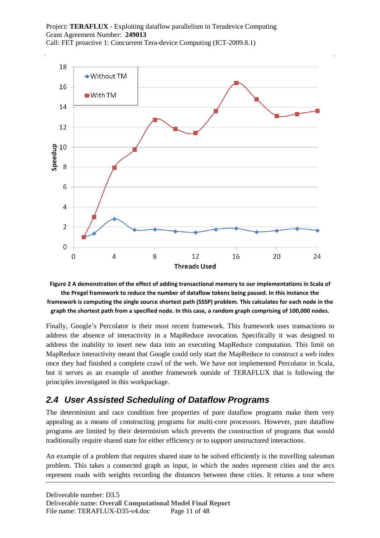



Finally, Google's Percolator is their most recent framework. This framework uses transactions to address the absence of interactivity in a MapReduce invocation. Specifically it was designed to address the inability to insert new data into an executing MapReduce computation. This limit on MapReduce interactivity meant that Google could only start the MapReduce to construct a web index once they had finished a complete crawl of the web. We have not implemented Percolator in Scala, but it serves as an example of another framework outside of TERAFLUX that is following the principles investigated in this workpackage.

# **2.4 User Assisted Scheduling of Dataflow Programs**

The determinism and race condition free properties of pure dataflow programs make them very appealing as a means of constructing programs for multi-core processors. However, pure dataflow programs are limited by their determinism which prevents the construction of programs that would traditionally require shared state for either efficiency or to support unstructured interactions.

An example of a problem that requires shared state to be solved efficiently is the travelling salesman problem. This takes a connected graph as input, in which the nodes represent cities and the arcs represent roads with weights recording the distances between these cities. It returns a tour where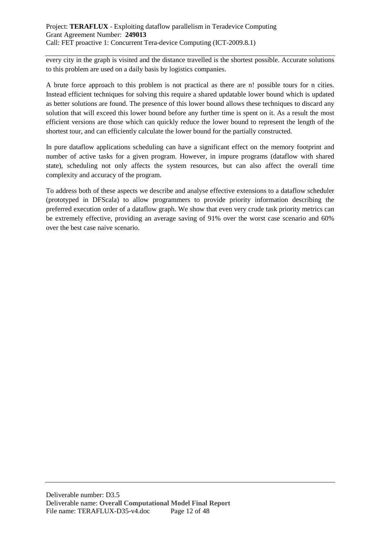every city in the graph is visited and the distance travelled is the shortest possible. Accurate solutions to this problem are used on a daily basis by logistics companies.

A brute force approach to this problem is not practical as there are n! possible tours for n cities. Instead efficient techniques for solving this require a shared updatable lower bound which is updated as better solutions are found. The presence of this lower bound allows these techniques to discard any solution that will exceed this lower bound before any further time is spent on it. As a result the most efficient versions are those which can quickly reduce the lower bound to represent the length of the shortest tour, and can efficiently calculate the lower bound for the partially constructed.

In pure dataflow applications scheduling can have a significant effect on the memory footprint and number of active tasks for a given program. However, in impure programs (dataflow with shared state), scheduling not only affects the system resources, but can also affect the overall time complexity and accuracy of the program.

To address both of these aspects we describe and analyse effective extensions to a dataflow scheduler (prototyped in DFScala) to allow programmers to provide priority information describing the preferred execution order of a dataflow graph. We show that even very crude task priority metrics can be extremely effective, providing an average saving of 91% over the worst case scenario and 60% over the best case naive scenario.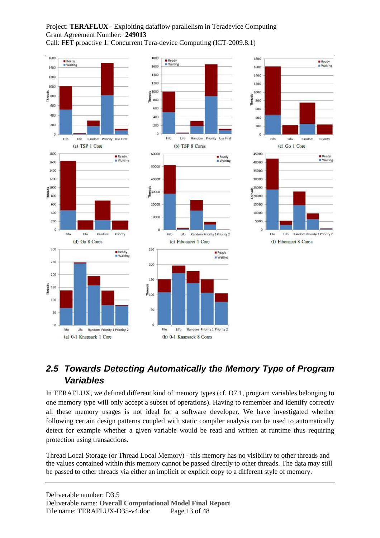Call: FET proactive 1: Concurrent Tera-device Computing (ICT-2009.8.1)







# **2.5 Towards Detecting Automatically the Memory Type of Program Variables**

In TERAFLUX, we defined different kind of memory types (cf. D7.1, program variables belonging to one memory type will only accept a subset of operations). Having to remember and identify correctly all these memory usages is not ideal for a software developer. We have investigated whether following certain design patterns coupled with static compiler analysis can be used to automatically detect for example whether a given variable would be read and written at runtime thus requiring protection using transactions.

Thread Local Storage (or Thread Local Memory) - this memory has no visibility to other threads and the values contained within this memory cannot be passed directly to other threads. The data may still be passed to other threads via either an implicit or explicit copy to a different style of memory.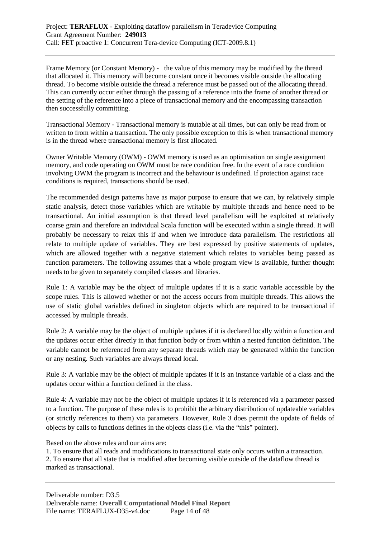Frame Memory (or Constant Memory) - the value of this memory may be modified by the thread that allocated it. This memory will become constant once it becomes visible outside the allocating thread. To become visible outside the thread a reference must be passed out of the allocating thread. This can currently occur either through the passing of a reference into the frame of another thread or the setting of the reference into a piece of transactional memory and the encompassing transaction then successfully committing.

Transactional Memory - Transactional memory is mutable at all times, but can only be read from or written to from within a transaction. The only possible exception to this is when transactional memory is in the thread where transactional memory is first allocated.

Owner Writable Memory (OWM) - OWM memory is used as an optimisation on single assignment memory, and code operating on OWM must be race condition free. In the event of a race condition involving OWM the program is incorrect and the behaviour is undefined. If protection against race conditions is required, transactions should be used.

The recommended design patterns have as major purpose to ensure that we can, by relatively simple static analysis, detect those variables which are writable by multiple threads and hence need to be transactional. An initial assumption is that thread level parallelism will be exploited at relatively coarse grain and therefore an individual Scala function will be executed within a single thread. It will probably be necessary to relax this if and when we introduce data parallelism. The restrictions all relate to multiple update of variables. They are best expressed by positive statements of updates, which are allowed together with a negative statement which relates to variables being passed as function parameters. The following assumes that a whole program view is available, further thought needs to be given to separately compiled classes and libraries.

Rule 1: A variable may be the object of multiple updates if it is a static variable accessible by the scope rules. This is allowed whether or not the access occurs from multiple threads. This allows the use of static global variables defined in singleton objects which are required to be transactional if accessed by multiple threads.

Rule 2: A variable may be the object of multiple updates if it is declared locally within a function and the updates occur either directly in that function body or from within a nested function definition. The variable cannot be referenced from any separate threads which may be generated within the function or any nesting. Such variables are always thread local.

Rule 3: A variable may be the object of multiple updates if it is an instance variable of a class and the updates occur within a function defined in the class.

Rule 4: A variable may not be the object of multiple updates if it is referenced via a parameter passed to a function. The purpose of these rules is to prohibit the arbitrary distribution of updateable variables (or strictly references to them) via parameters. However, Rule 3 does permit the update of fields of objects by calls to functions defines in the objects class (i.e. via the "this" pointer).

Based on the above rules and our aims are:

1. To ensure that all reads and modifications to transactional state only occurs within a transaction. 2. To ensure that all state that is modified after becoming visible outside of the dataflow thread is marked as transactional.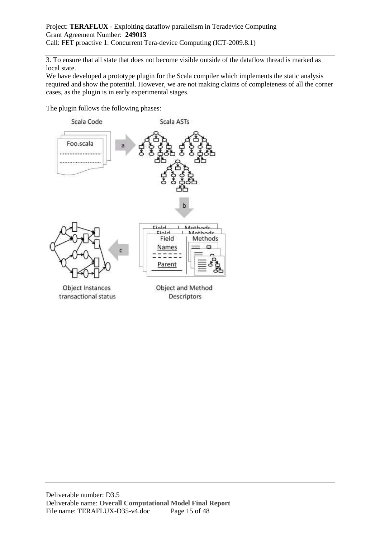3. To ensure that all state that does not become visible outside of the dataflow thread is marked as local state.

We have developed a prototype plugin for the Scala compiler which implements the static analysis required and show the potential. However, we are not making claims of completeness of all the corner cases, as the plugin is in early experimental stages.

The plugin follows the following phases:



Object Instances transactional status

Object and Method Descriptors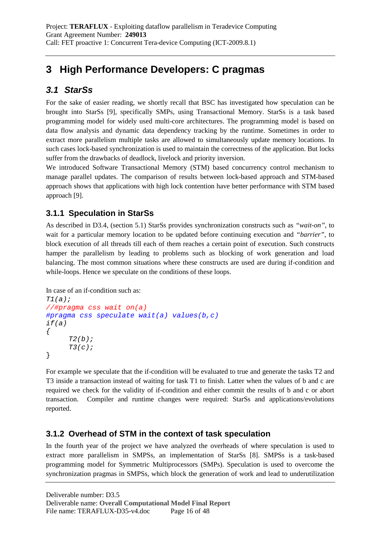# **3 High Performance Developers: C pragmas**

# **3.1 StarSs**

For the sake of easier reading, we shortly recall that BSC has investigated how speculation can be brought into StarSs [9], specifically SMPs, using Transactional Memory. StarSs is a task based programming model for widely used multi-core architectures. The programming model is based on data flow analysis and dynamic data dependency tracking by the runtime. Sometimes in order to extract more parallelism multiple tasks are allowed to simultaneously update memory locations. In such cases lock-based synchronization is used to maintain the correctness of the application. But locks suffer from the drawbacks of deadlock, livelock and priority inversion.

We introduced Software Transactional Memory (STM) based concurrency control mechanism to manage parallel updates. The comparison of results between lock-based approach and STM-based approach shows that applications with high lock contention have better performance with STM based approach [9].

# **3.1.1 Speculation in StarSs**

As described in D3.4, (section 5.1) StarSs provides synchronization constructs such as *"wait-on"*, to wait for a particular memory location to be updated before continuing execution and *"barrier",* to block execution of all threads till each of them reaches a certain point of execution. Such constructs hamper the parallelism by leading to problems such as blocking of work generation and load balancing. The most common situations where these constructs are used are during if-condition and while-loops. Hence we speculate on the conditions of these loops.

In case of an if-condition such as:

```
T1(a);
//#pragma css wait on(a) 
#pragma css speculate wait(a) values(b,c) 
if(a) 
\{T2(b);
     T3(c);
}
```
For example we speculate that the if-condition will be evaluated to true and generate the tasks T2 and T3 inside a transaction instead of waiting for task T1 to finish. Latter when the values of b and c are required we check for the validity of if-condition and either commit the results of b and c or abort transaction. Compiler and runtime changes were required: StarSs and applications/evolutions reported.

### **3.1.2 Overhead of STM in the context of task speculation**

In the fourth year of the project we have analyzed the overheads of where speculation is used to extract more parallelism in SMPSs, an implementation of StarSs [8]. SMPSs is a task-based programming model for Symmetric Multiprocessors (SMPs). Speculation is used to overcome the synchronization pragmas in SMPSs, which block the generation of work and lead to underutilization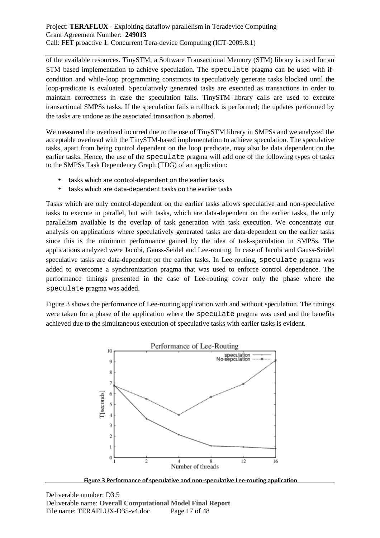of the available resources. TinySTM, a Software Transactional Memory (STM) library is used for an STM based implementation to achieve speculation. The speculate pragma can be used with ifcondition and while-loop programming constructs to speculatively generate tasks blocked until the loop-predicate is evaluated. Speculatively generated tasks are executed as transactions in order to maintain correctness in case the speculation fails. TinySTM library calls are used to execute transactional SMPSs tasks. If the speculation fails a rollback is performed; the updates performed by the tasks are undone as the associated transaction is aborted.

We measured the overhead incurred due to the use of TinySTM library in SMPSs and we analyzed the acceptable overhead with the TinySTM-based implementation to achieve speculation. The speculative tasks, apart from being control dependent on the loop predicate, may also be data dependent on the earlier tasks. Hence, the use of the speculate pragma will add one of the following types of tasks to the SMPSs Task Dependency Graph (TDG) of an application:

- tasks which are control-dependent on the earlier tasks
- tasks which are data-dependent tasks on the earlier tasks

Tasks which are only control-dependent on the earlier tasks allows speculative and non-speculative tasks to execute in parallel, but with tasks, which are data-dependent on the earlier tasks, the only parallelism available is the overlap of task generation with task execution. We concentrate our analysis on applications where speculatively generated tasks are data-dependent on the earlier tasks since this is the minimum performance gained by the idea of task-speculation in SMPSs. The applications analyzed were Jacobi, Gauss-Seidel and Lee-routing. In case of Jacobi and Gauss-Seidel speculative tasks are data-dependent on the earlier tasks. In Lee-routing, speculate pragma was added to overcome a synchronization pragma that was used to enforce control dependence. The performance timings presented in the case of Lee-routing cover only the phase where the speculate pragma was added.

Figure 3 shows the performance of Lee-routing application with and without speculation. The timings were taken for a phase of the application where the speculate pragma was used and the benefits achieved due to the simultaneous execution of speculative tasks with earlier tasks is evident.



**Figure 3 Performance of speculative and non-speculative Lee-routing application**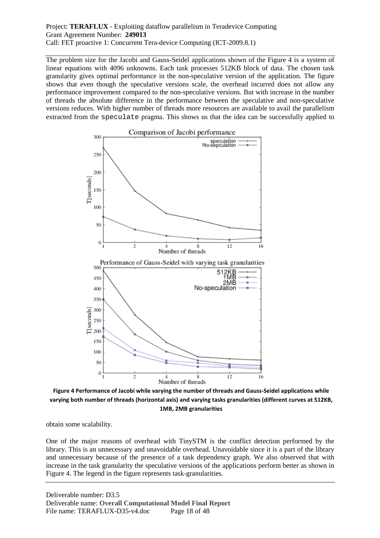The problem size for the Jacobi and Gauss-Seidel applications shown of the Figure 4 is a system of linear equations with 4096 unknowns. Each task processes 512KB block of data. The chosen task granularity gives optimal performance in the non-speculative version of the application. The figure shows that even though the speculative versions scale, the overhead incurred does not allow any performance improvement compared to the non-speculative versions. But with increase in the number of threads the absolute difference in the performance between the speculative and non-speculative versions reduces. With higher number of threads more resources are available to avail the parallelism extracted from the speculate pragma. This shows us that the idea can be successfully applied to



**Figure 4 Performance of Jacobi while varying the number of threads and Gauss-Seidel applications while varying both number of threads (horizontal axis) and varying tasks granularities (different curves at 512KB, 1MB, 2MB granularities** 

obtain some scalability.

One of the major reasons of overhead with TinySTM is the conflict detection performed by the library. This is an unnecessary and unavoidable overhead. Unavoidable since it is a part of the library and unnecessary because of the presence of a task dependency graph. We also observed that with increase in the task granularity the speculative versions of the applications perform better as shown in Figure 4. The legend in the figure represents task-granularities.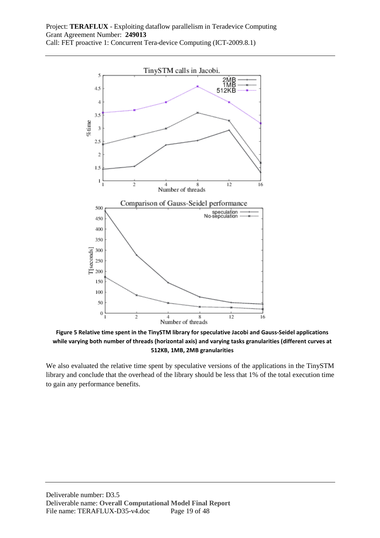

**Figure 5 Relative time spent in the TinySTM library for speculative Jacobi and Gauss-Seidel applications while varying both number of threads (horizontal axis) and varying tasks granularities (different curves at 512KB, 1MB, 2MB granularities** 

We also evaluated the relative time spent by speculative versions of the applications in the TinySTM library and conclude that the overhead of the library should be less that 1% of the total execution time to gain any performance benefits.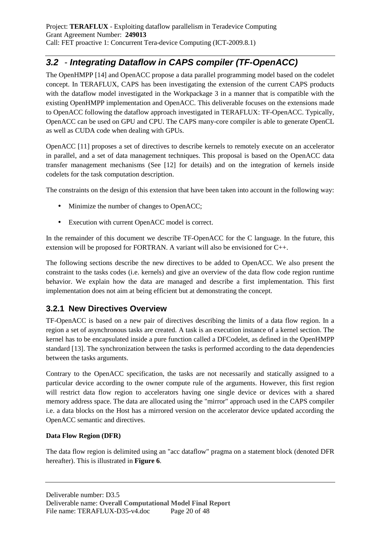# **3.2** - **Integrating Dataflow in CAPS compiler (TF-OpenACC)**

The OpenHMPP [14] and OpenACC propose a data parallel programming model based on the codelet concept. In TERAFLUX, CAPS has been investigating the extension of the current CAPS products with the dataflow model investigated in the Workpackage 3 in a manner that is compatible with the existing OpenHMPP implementation and OpenACC. This deliverable focuses on the extensions made to OpenACC following the dataflow approach investigated in TERAFLUX: TF-OpenACC. Typically, OpenACC can be used on GPU and CPU. The CAPS many-core compiler is able to generate OpenCL as well as CUDA code when dealing with GPUs.

OpenACC [11] proposes a set of directives to describe kernels to remotely execute on an accelerator in parallel, and a set of data management techniques. This proposal is based on the OpenACC data transfer management mechanisms (See [12] for details) and on the integration of kernels inside codelets for the task computation description.

The constraints on the design of this extension that have been taken into account in the following way:

- Minimize the number of changes to OpenACC;
- Execution with current OpenACC model is correct.

In the remainder of this document we describe TF-OpenACC for the C language. In the future, this extension will be proposed for FORTRAN. A variant will also be envisioned for C++.

The following sections describe the new directives to be added to OpenACC. We also present the constraint to the tasks codes (i.e. kernels) and give an overview of the data flow code region runtime behavior. We explain how the data are managed and describe a first implementation. This first implementation does not aim at being efficient but at demonstrating the concept.

# **3.2.1 New Directives Overview**

TF-OpenACC is based on a new pair of directives describing the limits of a data flow region. In a region a set of asynchronous tasks are created. A task is an execution instance of a kernel section. The kernel has to be encapsulated inside a pure function called a DFCodelet, as defined in the OpenHMPP standard [13]. The synchronization between the tasks is performed according to the data dependencies between the tasks arguments.

Contrary to the OpenACC specification, the tasks are not necessarily and statically assigned to a particular device according to the owner compute rule of the arguments. However, this first region will restrict data flow region to accelerators having one single device or devices with a shared memory address space. The data are allocated using the "mirror" approach used in the CAPS compiler i.e. a data blocks on the Host has a mirrored version on the accelerator device updated according the OpenACC semantic and directives.

### **Data Flow Region (DFR)**

The data flow region is delimited using an "acc dataflow" pragma on a statement block (denoted DFR hereafter). This is illustrated in **Figure 6**.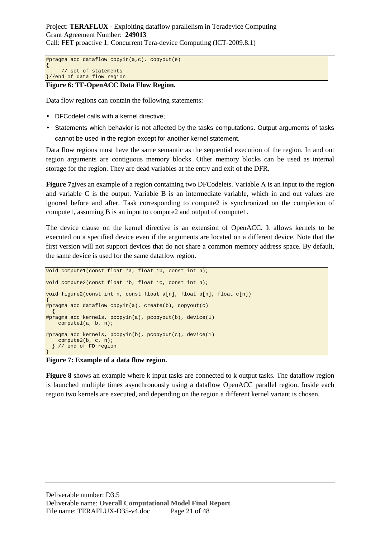```
#pragma acc dataflow copyin(a,c), copyout(e) 
{ 
      // set of statements 
}//end of data flow region
```
#### **Figure 6: TF-OpenACC Data Flow Region.**

Data flow regions can contain the following statements:

- DFCodelet calls with a kernel directive;
- Statements which behavior is not affected by the tasks computations. Output arguments of tasks cannot be used in the region except for another kernel statement.

Data flow regions must have the same semantic as the sequential execution of the region. In and out region arguments are contiguous memory blocks. Other memory blocks can be used as internal storage for the region. They are dead variables at the entry and exit of the DFR.

**Figure 7**gives an example of a region containing two DFCodelets. Variable A is an input to the region and variable C is the output. Variable B is an intermediate variable, which in and out values are ignored before and after. Task corresponding to compute2 is synchronized on the completion of compute1, assuming B is an input to compute2 and output of compute1.

The device clause on the kernel directive is an extension of OpenACC. It allows kernels to be executed on a specified device even if the arguments are located on a different device. Note that the first version will not support devices that do not share a common memory address space. By default, the same device is used for the same dataflow region.

```
void compute1(const float *a, float *b, const int n);
void compute2(const float *b, float *c, const int n); 
void figure2(const int n, const float a[n], float b[n], float c[n]) 
{ 
#pragma acc dataflow copyin(a), create(b), copyout(c) 
\{#pragma acc kernels, pcopyin(a), pcopyout(b), device(1) 
    compute1(a, b, n); 
#pragma acc kernels, pcopyin(b), pcopyout(c), device(1) 
     compute2(b, c, n); 
   } // end of FD region 
}
```
#### **Figure 7: Example of a data flow region.**

**Figure 8** shows an example where k input tasks are connected to k output tasks. The dataflow region is launched multiple times asynchronously using a dataflow OpenACC parallel region. Inside each region two kernels are executed, and depending on the region a different kernel variant is chosen.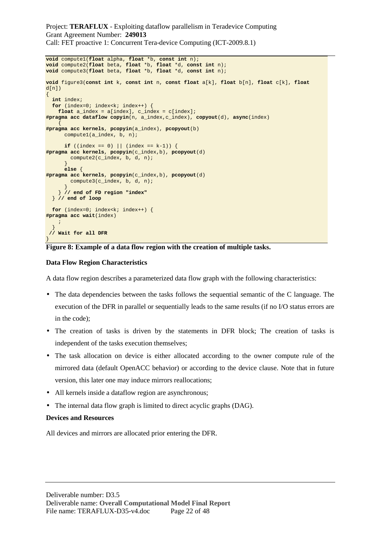```
void compute1(float alpha, float *b, const int n); 
void compute2(float beta, float *b, float *d, const int n); 
void compute3(float beta, float *b, float *d, const int n); 
void figure3(const int k, const int n, const float a[k], float b[n], float c[k], float
d[n]{ 
   int index; 
  for (index=0; index<k; index++) {
     float a_index = a[index], c_index = c[index]; 
#pragma acc dataflow copyin(n, a_index,c_index), copyout(d), async(index) 
\left\{\begin{array}{c} \end{array}\right\}#pragma acc kernels, pcopyin(a_index), pcopyout(b) 
       compute1(a_index, b, n); 
      if ((index == 0) | (index == k-1)) {
#pragma acc kernels, pcopyin(c_index,b), pcopyout(d) 
         compute2(c_index, b, d, n); 
\begin{array}{ccc} \end{array} else { 
#pragma acc kernels, pcopyin(c_index,b), pcopyout(d) 
         compute3(c_index, b, d, n); 
 } 
      } // end of FD region "index" 
   } // end of loop 
  for (index=0; index<k; index++) {
#pragma acc wait(index) 
\mathcal{L}^{\mathcal{L}} ; \mathcal{L}^{\mathcal{L}} } 
  // Wait for all DFR 
}
```
#### **Figure 8: Example of a data flow region with the creation of multiple tasks.**

#### **Data Flow Region Characteristics**

A data flow region describes a parameterized data flow graph with the following characteristics:

- The data dependencies between the tasks follows the sequential semantic of the C language. The execution of the DFR in parallel or sequentially leads to the same results (if no I/O status errors are in the code);
- The creation of tasks is driven by the statements in DFR block; The creation of tasks is independent of the tasks execution themselves;
- The task allocation on device is either allocated according to the owner compute rule of the mirrored data (default OpenACC behavior) or according to the device clause. Note that in future version, this later one may induce mirrors reallocations;
- All kernels inside a dataflow region are asynchronous;
- The internal data flow graph is limited to direct acyclic graphs (DAG).

### **Devices and Resources**

All devices and mirrors are allocated prior entering the DFR.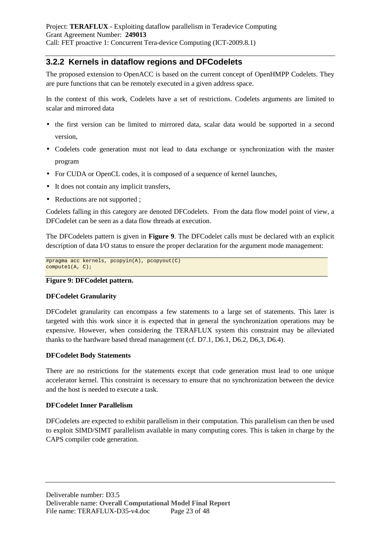### **3.2.2 Kernels in dataflow regions and DFCodelets**

The proposed extension to OpenACC is based on the current concept of OpenHMPP Codelets. They are pure functions that can be remotely executed in a given address space.

In the context of this work, Codelets have a set of restrictions. Codelets arguments are limited to scalar and mirrored data

- the first version can be limited to mirrored data, scalar data would be supported in a second version,
- Codelets code generation must not lead to data exchange or synchronization with the master program
- For CUDA or OpenCL codes, it is composed of a sequence of kernel launches,
- It does not contain any implicit transfers,
- Reductions are not supported ;

Codelets falling in this category are denoted DFCodelets. From the data flow model point of view, a DFCodelet can be seen as a data flow threads at execution.

The DFCodelets pattern is given in **Figure 9**. The DFCodelet calls must be declared with an explicit description of data I/O status to ensure the proper declaration for the argument mode management:

#pragma acc kernels, pcopyin(A), pcopyout(C) compute1(A, C);

### **Figure 9: DFCodelet pattern.**

### **DFCodelet Granularity**

DFCodelet granularity can encompass a few statements to a large set of statements. This later is targeted with this work since it is expected that in general the synchronization operations may be expensive. However, when considering the TERAFLUX system this constraint may be alleviated thanks to the hardware based thread management (cf. D7.1, D6.1, D6.2, D6,3, D6.4).

### **DFCodelet Body Statements**

There are no restrictions for the statements except that code generation must lead to one unique accelerator kernel. This constraint is necessary to ensure that no synchronization between the device and the host is needed to execute a task.

### **DFCodelet Inner Parallelism**

DFCodelets are expected to exhibit parallelism in their computation. This parallelism can then be used to exploit SIMD/SIMT parallelism available in many computing cores. This is taken in charge by the CAPS compiler code generation.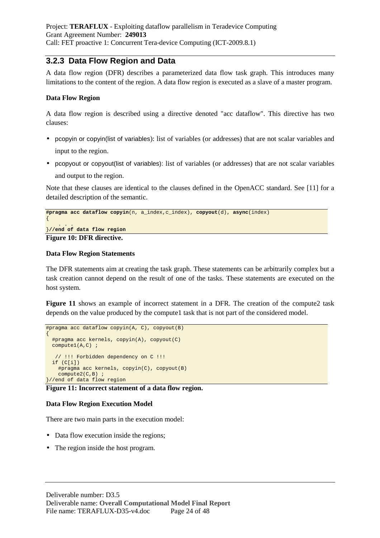### **3.2.3 Data Flow Region and Data**

A data flow region (DFR) describes a parameterized data flow task graph. This introduces many limitations to the content of the region. A data flow region is executed as a slave of a master program.

### **Data Flow Region**

A data flow region is described using a directive denoted "acc dataflow". This directive has two clauses:

- pcopyin or copyin(list of variables): list of variables (or addresses) that are not scalar variables and input to the region.
- pcopyout or copyout(list of variables): list of variables (or addresses) that are not scalar variables and output to the region.

Note that these clauses are identical to the clauses defined in the OpenACC standard. See [11] for a detailed description of the semantic.

```
#pragma acc dataflow copyin(n, a_index,c_index), copyout(d), async(index) 
{ 
 . . . 
}//end of data flow region
```
**Figure 10: DFR directive.** 

#### **Data Flow Region Statements**

The DFR statements aim at creating the task graph. These statements can be arbitrarily complex but a task creation cannot depend on the result of one of the tasks. These statements are executed on the host system.

**Figure 11** shows an example of incorrect statement in a DFR. The creation of the compute2 task depends on the value produced by the compute1 task that is not part of the considered model.

```
#pragma acc dataflow copyin(A, C), copyout(B) 
{ 
   #pragma acc kernels, copyin(A), copyout(C) 
   compute1(A,C) ; 
    // !!! Forbidden dependency on C !!! 
   if (C[i]) 
     #pragma acc kernels, copyin(C), copyout(B) 
     compute2(C,B) ; 
}//end of data flow region
```
**Figure 11: Incorrect statement of a data flow region.** 

### **Data Flow Region Execution Model**

There are two main parts in the execution model:

- Data flow execution inside the regions;
- The region inside the host program.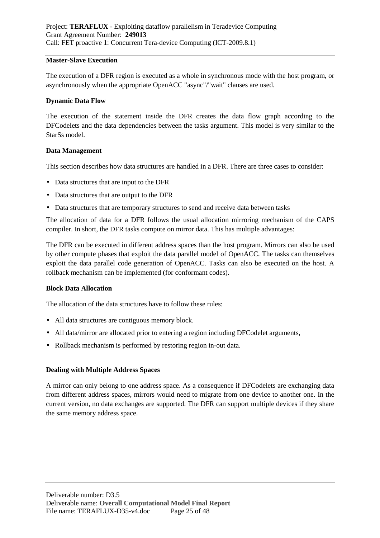#### **Master-Slave Execution**

The execution of a DFR region is executed as a whole in synchronous mode with the host program, or asynchronously when the appropriate OpenACC "async"/"wait" clauses are used.

#### **Dynamic Data Flow**

The execution of the statement inside the DFR creates the data flow graph according to the DFCodelets and the data dependencies between the tasks argument. This model is very similar to the StarSs model.

#### **Data Management**

This section describes how data structures are handled in a DFR. There are three cases to consider:

- Data structures that are input to the DFR
- Data structures that are output to the DFR
- Data structures that are temporary structures to send and receive data between tasks

The allocation of data for a DFR follows the usual allocation mirroring mechanism of the CAPS compiler. In short, the DFR tasks compute on mirror data. This has multiple advantages:

The DFR can be executed in different address spaces than the host program. Mirrors can also be used by other compute phases that exploit the data parallel model of OpenACC. The tasks can themselves exploit the data parallel code generation of OpenACC. Tasks can also be executed on the host. A rollback mechanism can be implemented (for conformant codes).

#### **Block Data Allocation**

The allocation of the data structures have to follow these rules:

- All data structures are contiguous memory block.
- All data/mirror are allocated prior to entering a region including DFCodelet arguments,
- Rollback mechanism is performed by restoring region in-out data.

### **Dealing with Multiple Address Spaces**

A mirror can only belong to one address space. As a consequence if DFCodelets are exchanging data from different address spaces, mirrors would need to migrate from one device to another one. In the current version, no data exchanges are supported. The DFR can support multiple devices if they share the same memory address space.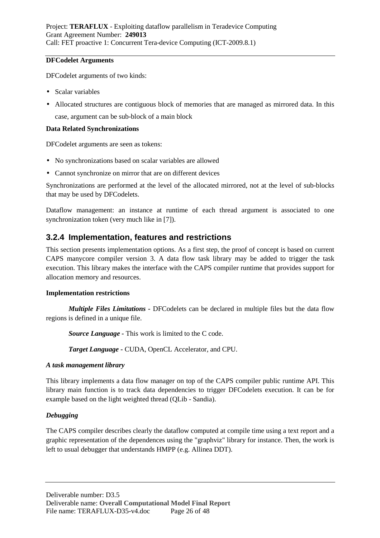#### **DFCodelet Arguments**

DFCodelet arguments of two kinds:

- Scalar variables
- Allocated structures are contiguous block of memories that are managed as mirrored data. In this case, argument can be sub-block of a main block

### **Data Related Synchronizations**

DFCodelet arguments are seen as tokens:

- No synchronizations based on scalar variables are allowed
- Cannot synchronize on mirror that are on different devices

Synchronizations are performed at the level of the allocated mirrored, not at the level of sub-blocks that may be used by DFCodelets.

Dataflow management: an instance at runtime of each thread argument is associated to one synchronization token (very much like in [7]).

### **3.2.4 Implementation, features and restrictions**

This section presents implementation options. As a first step, the proof of concept is based on current CAPS manycore compiler version 3. A data flow task library may be added to trigger the task execution. This library makes the interface with the CAPS compiler runtime that provides support for allocation memory and resources.

### **Implementation restrictions**

*Multiple Files Limitations -* DFCodelets can be declared in multiple files but the data flow regions is defined in a unique file.

*Source Language -* This work is limited to the C code.

*Target Language -* CUDA, OpenCL Accelerator, and CPU.

### *A task management library*

This library implements a data flow manager on top of the CAPS compiler public runtime API. This library main function is to track data dependencies to trigger DFCodelets execution. It can be for example based on the light weighted thread (QLib - Sandia).

### *Debugging*

The CAPS compiler describes clearly the dataflow computed at compile time using a text report and a graphic representation of the dependences using the "graphviz" library for instance. Then, the work is left to usual debugger that understands HMPP (e.g. Allinea DDT).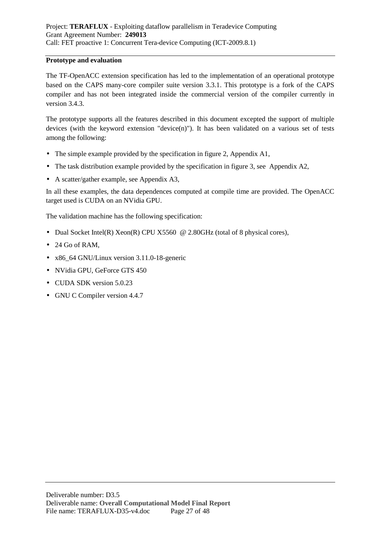#### **Prototype and evaluation**

The TF-OpenACC extension specification has led to the implementation of an operational prototype based on the CAPS many-core compiler suite version 3.3.1. This prototype is a fork of the CAPS compiler and has not been integrated inside the commercial version of the compiler currently in version 3.4.3.

The prototype supports all the features described in this document excepted the support of multiple devices (with the keyword extension "device(n)"). It has been validated on a various set of tests among the following:

- The simple example provided by the specification in figure 2, Appendix A1,
- The task distribution example provided by the specification in figure 3, see Appendix A2,
- A scatter/gather example, see Appendix A3,

In all these examples, the data dependences computed at compile time are provided. The OpenACC target used is CUDA on an NVidia GPU.

The validation machine has the following specification:

- Dual Socket Intel(R) Xeon(R) CPU X5560  $\omega$  2.80GHz (total of 8 physical cores),
- 24 Go of RAM,
- x86\_64 GNU/Linux version 3.11.0-18-generic
- NVidia GPU, GeForce GTS 450
- CUDA SDK version 5.0.23
- GNU C Compiler version 4.4.7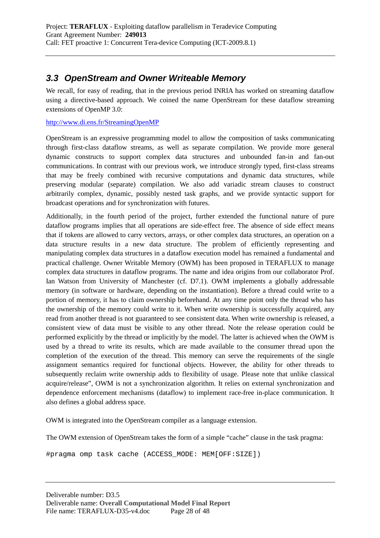# **3.3 OpenStream and Owner Writeable Memory**

We recall, for easy of reading, that in the previous period INRIA has worked on streaming dataflow using a directive-based approach. We coined the name OpenStream for these dataflow streaming extensions of OpenMP 3.0:

http://www.di.ens.fr/StreamingOpenMP

OpenStream is an expressive programming model to allow the composition of tasks communicating through first-class dataflow streams, as well as separate compilation. We provide more general dynamic constructs to support complex data structures and unbounded fan-in and fan-out communications. In contrast with our previous work, we introduce strongly typed, first-class streams that may be freely combined with recursive computations and dynamic data structures, while preserving modular (separate) compilation. We also add variadic stream clauses to construct arbitrarily complex, dynamic, possibly nested task graphs, and we provide syntactic support for broadcast operations and for synchronization with futures.

Additionally, in the fourth period of the project, further extended the functional nature of pure dataflow programs implies that all operations are side-effect free. The absence of side effect means that if tokens are allowed to carry vectors, arrays, or other complex data structures, an operation on a data structure results in a new data structure. The problem of efficiently representing and manipulating complex data structures in a dataflow execution model has remained a fundamental and practical challenge. Owner Writable Memory (OWM) has been proposed in TERAFLUX to manage complex data structures in dataflow programs. The name and idea origins from our collaborator Prof. Ian Watson from University of Manchester (cf. D7.1). OWM implements a globally addressable memory (in software or hardware, depending on the instantiation). Before a thread could write to a portion of memory, it has to claim ownership beforehand. At any time point only the thread who has the ownership of the memory could write to it. When write ownership is successfully acquired, any read from another thread is not guaranteed to see consistent data. When write ownership is released, a consistent view of data must be visible to any other thread. Note the release operation could be performed explicitly by the thread or implicitly by the model. The latter is achieved when the OWM is used by a thread to write its results, which are made available to the consumer thread upon the completion of the execution of the thread. This memory can serve the requirements of the single assignment semantics required for functional objects. However, the ability for other threads to subsequently reclaim write ownership adds to flexibility of usage. Please note that unlike classical acquire/release", OWM is not a synchronization algorithm. It relies on external synchronization and dependence enforcement mechanisms (dataflow) to implement race-free in-place communication. It also defines a global address space.

OWM is integrated into the OpenStream compiler as a language extension.

The OWM extension of OpenStream takes the form of a simple "cache" clause in the task pragma:

#pragma omp task cache (ACCESS\_MODE: MEM[OFF:SIZE])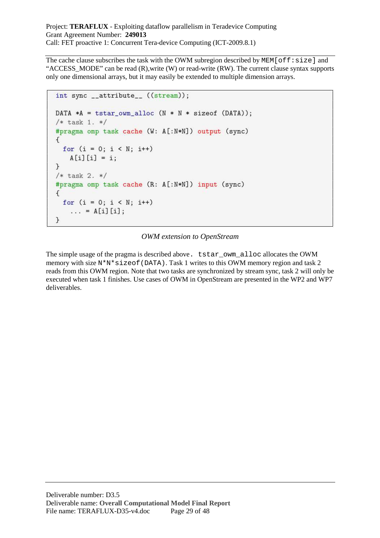The cache clause subscribes the task with the OWM subregion described by  $MEM[off:size]$  and "ACCESS\_MODE" can be read (R),write (W) or read-write (RW). The current clause syntax supports only one dimensional arrays, but it may easily be extended to multiple dimension arrays.

```
int sync __attribute__ ((stream));
DATA *A = tstar\_own\_alloc (N * N * sizeof (DATA));
/* task 1. */
#pragma omp task cache (W: A[:N*N]) output (sync)
€
  for (i = 0; i < N; i++)A[i][i] = i;\mathcal{F}/* task 2. */
#pragma omp task cache (R: A[:N*N]) input (sync)
\left\{ \right.for (i = 0; i < N; i++)... = A[i][i];}
```
### *OWM extension to OpenStream*

The simple usage of the pragma is described above. tstar\_owm\_alloc allocates the OWM memory with size  $N^*N^*$  sizeof (DATA). Task 1 writes to this OWM memory region and task 2 reads from this OWM region. Note that two tasks are synchronized by stream sync, task 2 will only be executed when task 1 finishes. Use cases of OWM in OpenStream are presented in the WP2 and WP7 deliverables.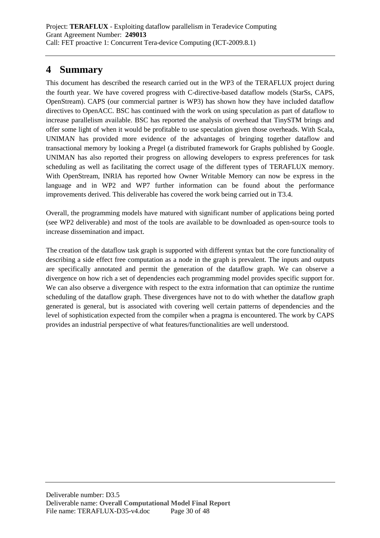# **4 Summary**

This document has described the research carried out in the WP3 of the TERAFLUX project during the fourth year. We have covered progress with C-directive-based dataflow models (StarSs, CAPS, OpenStream). CAPS (our commercial partner is WP3) has shown how they have included dataflow directives to OpenACC. BSC has continued with the work on using speculation as part of dataflow to increase parallelism available. BSC has reported the analysis of overhead that TinySTM brings and offer some light of when it would be profitable to use speculation given those overheads. With Scala, UNIMAN has provided more evidence of the advantages of bringing together dataflow and transactional memory by looking a Pregel (a distributed framework for Graphs published by Google. UNIMAN has also reported their progress on allowing developers to express preferences for task scheduling as well as facilitating the correct usage of the different types of TERAFLUX memory. With OpenStream, INRIA has reported how Owner Writable Memory can now be express in the language and in WP2 and WP7 further information can be found about the performance improvements derived. This deliverable has covered the work being carried out in T3.4.

Overall, the programming models have matured with significant number of applications being ported (see WP2 deliverable) and most of the tools are available to be downloaded as open-source tools to increase dissemination and impact.

The creation of the dataflow task graph is supported with different syntax but the core functionality of describing a side effect free computation as a node in the graph is prevalent. The inputs and outputs are specifically annotated and permit the generation of the dataflow graph. We can observe a divergence on how rich a set of dependencies each programming model provides specific support for. We can also observe a divergence with respect to the extra information that can optimize the runtime scheduling of the dataflow graph. These divergences have not to do with whether the dataflow graph generated is general, but is associated with covering well certain patterns of dependencies and the level of sophistication expected from the compiler when a pragma is encountered. The work by CAPS provides an industrial perspective of what features/functionalities are well understood.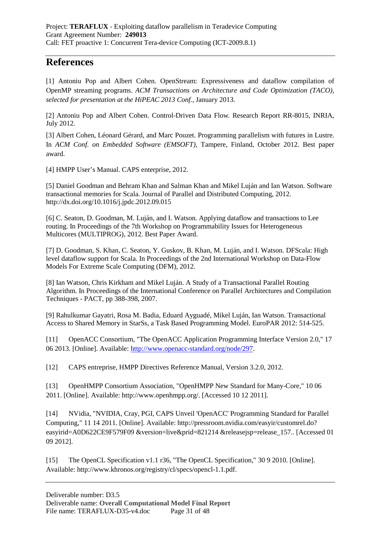# **References**

[1] Antoniu Pop and Albert Cohen. OpenStream: Expressiveness and dataflow compilation of OpenMP streaming programs. *ACM Transactions on Architecture and Code Optimization (TACO), selected for presentation at the HiPEAC 2013 Conf.*, January 2013.

[2] Antoniu Pop and Albert Cohen. Control-Driven Data Flow. Research Report RR-8015, INRIA, July 2012.

[3] Albert Cohen, Léonard Gérard, and Marc Pouzet. Programming parallelism with futures in Lustre. In *ACM Conf. on Embedded Software (EMSOFT)*, Tampere, Finland, October 2012. Best paper award.

[4] HMPP User's Manual. CAPS enterprise, 2012.

[5] Daniel Goodman and Behram Khan and Salman Khan and Mikel Luján and Ian Watson. Software transactional memories for Scala. Journal of Parallel and Distributed Computing, 2012. http://dx.doi.org/10.1016/j.jpdc.2012.09.015

[6] C. Seaton, D. Goodman, M. Luján, and I. Watson. Applying dataflow and transactions to Lee routing. In Proceedings of the 7th Workshop on Programmability Issues for Heterogeneous Multicores (MULTIPROG), 2012. Best Paper Award.

[7] D. Goodman, S. Khan, C. Seaton, Y. Guskov, B. Khan, M. Luján, and I. Watson. DFScala: High level dataflow support for Scala. In Proceedings of the 2nd International Workshop on Data-Flow Models For Extreme Scale Computing (DFM), 2012.

[8] Ian Watson, Chris Kirkham and Mikel Luján. A Study of a Transactional Parallel Routing Algorithm. In Proceedings of the International Conference on Parallel Architectures and Compilation Techniques - PACT, pp 388-398, 2007.

[9] Rahulkumar Gayatri, Rosa M. Badia, Eduard Ayguadé, Mikel Luján, Ian Watson. Transactional Access to Shared Memory in StarSs, a Task Based Programming Model. EuroPAR 2012: 514-525.

[11] OpenACC Consortium, "The OpenACC Application Programming Interface Version 2.0," 17 06 2013. [Online]. Available: http://www.openacc-standard.org/node/297.

[12] CAPS entreprise, HMPP Directives Reference Manual, Version 3.2.0, 2012.

[13] OpenHMPP Consortium Association, "OpenHMPP New Standard for Many-Core," 10 06 2011. [Online]. Available: http://www.openhmpp.org/. [Accessed 10 12 2011].

[14] NVidia, "NVIDIA, Cray, PGI, CAPS Unveil 'OpenACC' Programming Standard for Parallel Computing," 11 14 2011. [Online]. Available: http://pressroom.nvidia.com/easyir/customrel.do? easyirid=A0D622CE9F579F09 &version=live&prid=821214 &releasejsp=release\_157.. [Accessed 01 09 2012].

[15] The OpenCL Specification v1.1 r36, "The OpenCL Specification," 30 9 2010. [Online]. Available: http://www.khronos.org/registry/cl/specs/opencl-1.1.pdf.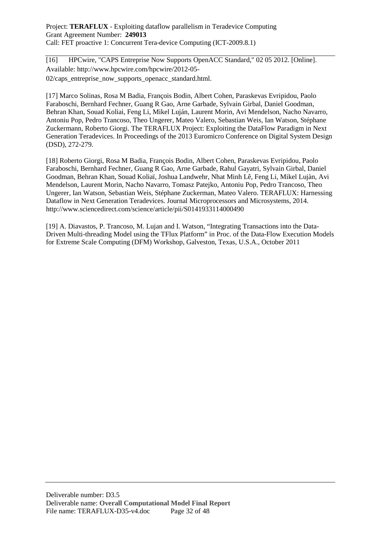[16] HPCwire, "CAPS Entreprise Now Supports OpenACC Standard," 02 05 2012. [Online]. Available: http://www.hpcwire.com/hpcwire/2012-05- 02/caps entreprise now supports openacc standard.html.

[17] Marco Solinas, Rosa M Badia, François Bodin, Albert Cohen, Paraskevas Evripidou, Paolo Faraboschi, Bernhard Fechner, Guang R Gao, Arne Garbade, Sylvain Girbal, Daniel Goodman, Behran Khan, Souad Koliai, Feng Li, Mikel Luján, Laurent Morin, Avi Mendelson, Nacho Navarro, Antoniu Pop, Pedro Trancoso, Theo Ungerer, Mateo Valero, Sebastian Weis, Ian Watson, Stéphane Zuckermann, Roberto Giorgi. The TERAFLUX Project: Exploiting the DataFlow Paradigm in Next Generation Teradevices. In Proceedings of the 2013 Euromicro Conference on Digital System Design (DSD), 272-279.

[18] Roberto Giorgi, Rosa M Badia, François Bodin, Albert Cohen, Paraskevas Evripidou, Paolo Faraboschi, Bernhard Fechner, Guang R Gao, Arne Garbade, Rahul Gayatri, Sylvain Girbal, Daniel Goodman, Behran Khan, Souad Koliaï, Joshua Landwehr, Nhat Minh Lê, Feng Li, Mikel Lujàn, Avi Mendelson, Laurent Morin, Nacho Navarro, Tomasz Patejko, Antoniu Pop, Pedro Trancoso, Theo Ungerer, Ian Watson, Sebastian Weis, Stéphane Zuckerman, Mateo Valero. TERAFLUX: Harnessing Dataflow in Next Generation Teradevices. Journal Microprocessors and Microsystems, 2014. http://www.sciencedirect.com/science/article/pii/S0141933114000490

[19] A. Diavastos, P. Trancoso, M. Lujan and I. Watson, "Integrating Transactions into the Data-Driven Multi-threading Model using the TFlux Platform" in Proc. of the Data-Flow Execution Models for Extreme Scale Computing (DFM) Workshop, Galveston, Texas, U.S.A., October 2011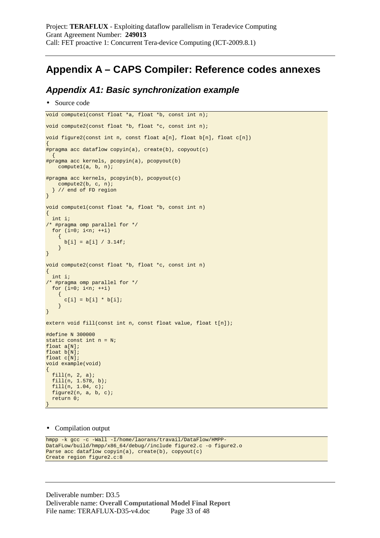# **Appendix A – CAPS Compiler: Reference codes annexes**

### **Appendix A1: Basic synchronization example**

• Source code

```
void compute1(const float *a, float *b, const int n); 
void compute2(const float *b, float *c, const int n); 
void figure2(const int n, const float a[n], float b[n], float c[n]) 
{ 
#pragma acc dataflow copyin(a), create(b), copyout(c) 
\{#pragma acc kernels, pcopyin(a), pcopyout(b) 
     compute1(a, b, n); 
#pragma acc kernels, pcopyin(b), pcopyout(c) 
    compute2(b, c, n); 
   } // end of FD region 
} 
void compute1(const float *a, float *b, const int n) 
{ 
   int i; 
/* #pragma omp parallel for */ 
 for (i=0; i<n; ++i)\left\{ \right.b[i] = a[i] / 3.14f;
     } 
} 
void compute2(const float *b, float *c, const int n) 
{ 
   int i; 
/* #pragma omp parallel for */ 
 for (i=0; i \le n; ++i)\left\{ \right.c[i] = b[i] * b[i]; } 
} 
extern void fill(const int n, const float value, float t[n]);
#define N 300000 
static const int n = N; 
float a[N]; 
float b[N]; 
float c[N]; 
void example(void) 
{ 
 fill(n, 2, a); 
 fill(n, 1.578, b); 
   fill(n, 1.04, c); 
   figure2(n, a, b, c); 
   return 0; 
}
```
#### • Compilation output

```
hmpp -k gcc -c -Wall -I/home/laorans/travail/DataFlow/HMPP-
DataFLow/build/hmpp/x86_64/debug//include figure2.c -o figure2.o 
Parse acc dataflow copyin(a), create(b), copyout(c)
Create region figure2.c:8
```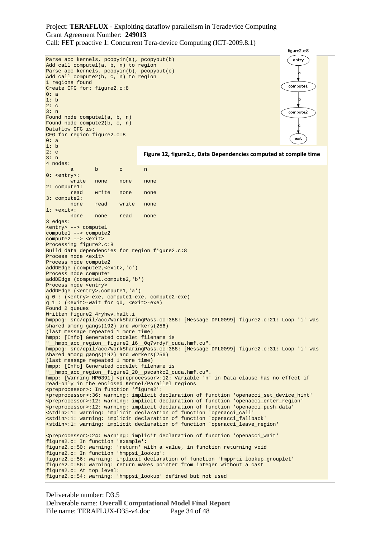figure<sub>2.c</sub>:8 Parse acc kernels, pcopyin(a), pcopyout(b) entry Add call compute1(a, b, n) to region Parse acc kernels, pcopyin(b), pcopyout(c) Add call compute2(b, c, n) to region 1 regions found computel Create CFG for: figure2.c:8 0: a 1: b  $2: c$ 3: n compute2 Found node compute1(a, b, n) Found node compute2(b, c, n) Dataflow CFG is: CFG for region figure2.c:8 exit 0: a 1: b 2: c **Figure 12, figure2.c, Data Dependencies computed at compile time**3: n 4 nodes: a b c n 0: <entry>: write none none none 2: compute1: read write none none 3: compute2: none read write none 1: <exit>: none none read none 3 edges: <entry> --> compute1 compute1 --> compute2 compute2 --> <exit> Processing figure2.c:8 Build data dependencies for region figure2.c:8 Process node <exit> Process node compute2 addDEdge (compute2,<exit>,'c') Process node compute1 addDEdge (compute1,compute2,'b') Process node <entry> addDEdge (<entry>,compute1,'a') q 0 : (<entry>-exe, compute1-exe, compute2-exe) q 1 : (<exit>-wait for q0, <exit>-exe) Found 2 queues Written figure2\_4ryhwv.halt.i hmppcg: src/dpil/acc/WorkSharingPass.cc:388: [Message DPL0099] figure2.c:21: Loop 'i' was shared among gangs(192) and workers(256) (last message repeated 1 more time) hmpp: [Info] Generated codelet filename is "\_\_hmpp\_acc\_region\_\_figure2\_16\_\_0q7vrdyf\_cuda.hmf.cu". hmppcg: src/dpil/acc/WorkSharingPass.cc:388: [Message DPL0099] figure2.c:31: Loop 'i' was shared among gangs(192) and workers(256) (last message repeated 1 more time) hmpp: [Info] Generated codelet filename is \_hmpp\_acc\_region\_\_figure2\_20\_\_pscahkc2\_cuda.hmf.cu". hmpp: [Warning HP0391] <preprocessor>:12: Variable 'n' in Data clause has no effect if read-only in the enclosed Kernel/Parallel regions <preprocessor>: In function 'figure2': <preprocessor>:36: warning: implicit declaration of function 'openacci\_set\_device\_hint' <preprocessor>:12: warning: implicit declaration of function 'openacci\_enter\_region' <preprocessor>:12: warning: implicit declaration of function 'openacci\_push\_data' <stdin>:1: warning: implicit declaration of function 'openacci\_call' <stdin>:1: warning: implicit declaration of function 'openacci\_fallback' <stdin>:1: warning: implicit declaration of function 'openacci\_leave\_region' <preprocessor>:24: warning: implicit declaration of function 'openacci\_wait' figure2.c: In function 'example': figure2.c:50: warning: 'return' with a value, in function returning void figure2.c: In function 'hmppsi\_lookup': figure2.c:56: warning: implicit declaration of function 'hmpprti\_lookup\_grouplet' figure2.c:56: warning: return makes pointer from integer without a cast figure2.c: At top level: figure2.c:54: warning: 'hmppsi\_lookup' defined but not used

```
Deliverable number: D3.5 
Deliverable name: Overall Computational Model Final Report
File name: TERAFLUX-D35-v4.doc Page 34 of 48
```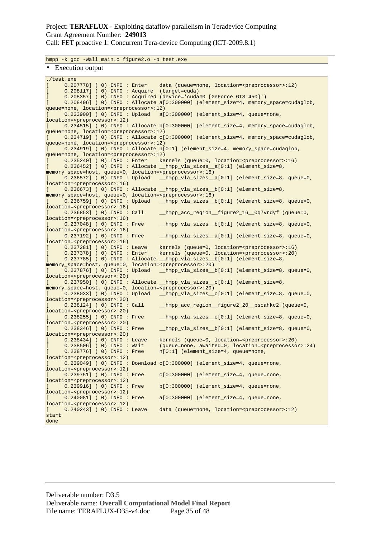Call: FET proactive 1: Concurrent Tera-device Computing (ICT-2009.8.1)

hmpp -k gcc -Wall main.o figure2.o -o test.exe

#### • Execution output

| ./test.exe                                                                              |                                                                                         |
|-----------------------------------------------------------------------------------------|-----------------------------------------------------------------------------------------|
| $\mathsf{L}$                                                                            | 0.207778] (0) INFO: Enter data (queue=none, location= <preprocessor>:12)</preprocessor> |
| 0.208117] (0) INFO: Acquire (target=cuda)<br>$\mathbf{L}$                               |                                                                                         |
| $\mathbf{r}$                                                                            | 0.208357] (0) INFO: Acquired (device='cuda#0 [GeForce GTS 450]')                        |
| $\mathbb{I}$                                                                            | 0.208496] (0) INFO: Allocate a[0:300000] (element_size=4, memory_space=cudaglob,        |
| queue=none, location= <preprocessor>:12)</preprocessor>                                 |                                                                                         |
| L                                                                                       | $0.233900$ ] (0) INFO: Upload a[0:300000] (element_size=4, queue=none,                  |
| location= <preprocessor>:12)</preprocessor>                                             |                                                                                         |
| L                                                                                       | 0.234515] (0) INFO: Allocate b[0:300000] (element_size=4, memory_space=cudaglob,        |
| queue=none, location= <preprocessor>:12)</preprocessor>                                 |                                                                                         |
| $\mathbb{R}$                                                                            | 0.234719] (0) INFO: Allocate c[0:300000] (element_size=4, memory_space=cudaglob,        |
| queue=none, location= <preprocessor>:12)</preprocessor>                                 |                                                                                         |
| $\mathbb{R}$                                                                            | 0.234919] (0) INFO: Allocate n[0:1] (element_size=4, memory_space=cudaglob,             |
| queue=none, location= <preprocessor>:12)</preprocessor>                                 |                                                                                         |
| $0.235240$ ] (0) INFO: Enter<br>$\mathbf{L}$                                            | kernels (queue=0, location= <preprocessor>:16)</preprocessor>                           |
| $\mathbf{L}$                                                                            | 0.236452] (0) INFO: Allocate hmpp_vla_sizes_a[0:1] (element_size=8,                     |
| memory_space=host, queue=0, location= <preprocessor>:16)</preprocessor>                 |                                                                                         |
| U                                                                                       | 0.236572] (0) INFO: Upload __hmpp_vla_sizes_a[0:1] (element_size=8, queue=0,            |
| location= <preprocessor>:16)</preprocessor>                                             |                                                                                         |
| $\mathbf{L}$                                                                            | 0.236673] (0) INFO: Allocate hmpp_vla_sizes_b[0:1] (element_size=8,                     |
| memory_space=host, queue=0, location= <preprocessor>:16)</preprocessor>                 |                                                                                         |
| L                                                                                       | 0.236759] (0) INFO: Upload __hmpp_vla_sizes__b[0:1] (element_size=8, queue=0,           |
| location= <preprocessor>:16)</preprocessor>                                             |                                                                                         |
| $0.236853$ ] ( 0) INFO : Call<br>$\mathbb{R}$                                           | _hmpp_acc_region_figure2_16_0q7vrdyf (queue=0,                                          |
| location= <preprocessor>:16)</preprocessor>                                             |                                                                                         |
| 0.237048] ( 0) INFO : Free<br>L                                                         | _hmpp_vla_sizes__b[0:1] (element_size=8, queue=0,                                       |
| location= <preprocessor>:16)</preprocessor>                                             |                                                                                         |
| 0.237192] ( 0) INFO : Free<br>$\mathbf{L}$                                              | hmpp_vla_sizes_a[0:1] (element_size=8, queue=0,                                         |
| location= <preprocessor>:16)</preprocessor>                                             |                                                                                         |
| 0.237281] ( 0) INFO : Leave<br>$\mathbf{L}$                                             | kernels (queue=0, location= <preprocessor>:16)</preprocessor>                           |
| 0.237378] ( 0) INFO : Enter<br>$\mathbf{r}$                                             | kernels (queue=0, location= <preprocessor>:20)</preprocessor>                           |
| $\mathbf{L}$                                                                            | 0.237785] (0) INFO: Allocate hmpp_vla_sizes_b[0:1] (element_size=8,                     |
| memory_space=host, queue=0, location= <preprocessor>:20)</preprocessor>                 |                                                                                         |
| 0.237876] ( 0) INFO : Upload<br>$\mathbb{R}$                                            | _hmpp_vla_sizes_b[0:1] (element_size=8, queue=0,                                        |
| location= <preprocessor>:20)</preprocessor>                                             |                                                                                         |
| $\mathbb{R}$<br>memory_space=host, queue=0, location= <preprocessor>:20)</preprocessor> | 0.237950] (0) INFO: Allocate hmpp_vla_sizes_c[0:1] (element_size=8,                     |
| 0.238033] ( 0) INFO : Upload                                                            | _hmpp_vla_sizes_c[0:1] (element_size=8, queue=0,                                        |
| L<br>location= <preprocessor>:20)</preprocessor>                                        |                                                                                         |
| $0.238124$ ] ( 0) INFO : Call<br>U                                                      | _hmpp_acc_region_figure2_20_pscahkc2 (queue=0,                                          |
| location= <preprocessor>:20)</preprocessor>                                             |                                                                                         |
| 0.238255] ( 0) INFO : Free<br>L                                                         | _hmpp_vla_sizes_c[0:1] (element_size=8, queue=0,                                        |
| location= <preprocessor>:20)</preprocessor>                                             |                                                                                         |
| 0.238346] ( 0) INFO : Free<br>$\mathbf{L}$                                              | hmpp_vla_sizes_b[0:1] (element_size=8, queue=0,                                         |
| location= <preprocessor>:20)</preprocessor>                                             |                                                                                         |
| 0.238434] ( 0) INFO : Leave<br>L                                                        | kernels (queue=0, location= <preprocessor>:20)</preprocessor>                           |
| $0.238506$ ] ( 0) INFO : Wait<br>$\mathbb{R}$                                           | (queue=none, awaited=0, location= <preprocessor>:24)</preprocessor>                     |
| 0.238776] ( 0) INFO : Free<br>L                                                         | n[0:1] (element_size=4, queue=none,                                                     |
| location= <preprocessor>:12)</preprocessor>                                             |                                                                                         |
|                                                                                         | $[0.239049]$ (0) INFO: Download $c[0:300000]$ (element_size=4, queue=none,              |
| location= <preprocessor>:12)</preprocessor>                                             |                                                                                         |
| 0.239751] ( 0) INFO : Free<br>L                                                         | $c[0:300000]$ (element_size=4, queue=none,                                              |
| location= <preprocessor>:12)</preprocessor>                                             |                                                                                         |
| 0.239916] ( 0) INFO : Free<br>$\mathbf{L}$                                              | $b[0:300000]$ (element_size=4, queue=none,                                              |
| location= <preprocessor>:12)</preprocessor>                                             |                                                                                         |
| 0.240081] ( 0) INFO : Free<br>L                                                         | a[0:300000] (element_size=4, queue=none,                                                |
| location= <preprocessor>:12)</preprocessor>                                             |                                                                                         |
| 0.240243] ( 0) INFO : Leave<br>$\mathbf{L}$                                             | data (queue=none, location= <preprocessor>:12)</preprocessor>                           |
| start                                                                                   |                                                                                         |
| done                                                                                    |                                                                                         |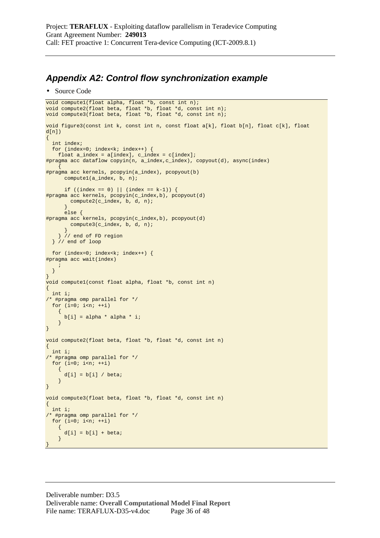## **Appendix A2: Control flow synchronization example**

```
• Source Code
```

```
void compute1(float alpha, float *b, const int n); 
void compute2(float beta, float *b, float *d, const int n); 
void compute3(float beta, float *b, float *d, const int n); 
void figure3(const int k, const int n, const float a[k], float b[n], float c[k], float 
d(n){ 
   int index; 
   for (index=0; index<k; index++) { 
    float a_index = a[index], c_index = c[index];
#pragma acc dataflow copyin(n, a_index, c_index), copyout(d), async(index)
    \left\{ \right.#pragma acc kernels, pcopyin(a_index), pcopyout(b) 
       compute1(a_index, b, n); 
      if ((index == 0) || (index == k-1)) {
#pragma acc kernels, pcopyin(c_index,b), pcopyout(d) 
         compute2(c_index, b, d, n); 
        } 
       else { 
#pragma acc kernels, pcopyin(c_index,b), pcopyout(d) 
         compute3(c_index, b, d, n); 
       } 
     } // end of FD region 
   } // end of loop 
   for (index=0; index<k; index++) { 
#pragma acc wait(index) 
\mathcal{L}^{\mathcal{L}} ; \mathcal{L}^{\mathcal{L}} } 
} 
void compute1(const float alpha, float *b, const int n) 
{ 
   int i; 
/* #pragma omp parallel for */ 
 for (i=0; i<n; ++i) { 
      b[i] = alpha * alpha * i; } 
} 
void compute2(float beta, float *b, float *d, const int n) 
{ 
   int i; 
/* #pragma omp parallel for */ 
  for (i=0; i<n; ++i)\left\{ \right.d[i] = b[i] / beta; } 
} 
void compute3(float beta, float *b, float *d, const int n) 
{ 
   int i; 
/* #pragma omp parallel for */ 
  for (i=0; i<n; ++i) { 
      d[i] = b[i] + beta; } 
}
```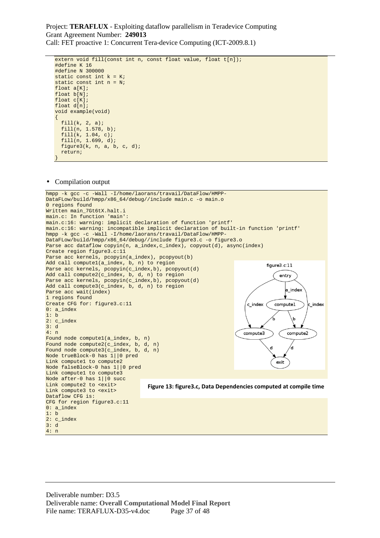```
extern void fill(const int n, const float value, float t[n]);
#define K 16 
#define N 300000 
static const int k = K;
static const int n = N; 
float a[K];
float b[N]; 
float c[K]; 
float d[n]; 
void example(void) 
{ 
   fill(k, 2, a); 
   fill(n, 1.578, b); 
   fill(k, 1.04, c); 
   fill(n, 1.699, d); 
   figure3(k, n, a, b, c, d); 
   return; 
}
```
#### • Compilation output

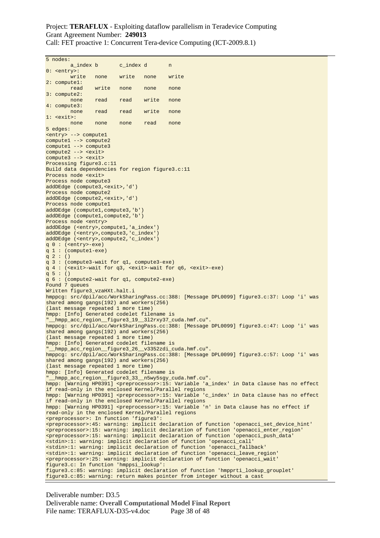Call: FET proactive 1: Concurrent Tera-device Computing (ICT-2009.8.1)

5 nodes: a\_index b c\_index d n 0: <entry>:<br>write write none write none write 2: compute1: **read** write none none none 3: compute2: none read read write none 4: compute3: none read read write none  $1:$   $\leq$   $\leq$   $\leq$   $\leq$   $\leq$   $\leq$   $\leq$   $\leq$   $\leq$   $\leq$   $\leq$   $\leq$   $\leq$   $\leq$   $\leq$   $\leq$   $\leq$   $\leq$   $\leq$   $\leq$   $\leq$   $\leq$   $\leq$   $\leq$   $\leq$   $\leq$   $\leq$   $\leq$   $\leq$   $\leq$   $\leq$   $\leq$   $\leq$   $\leq$   $\leq$   $\leq$  none none none read none 5 edges: <entry> --> compute1 compute1 --> compute2 compute1 --> compute3 compute2 --> <exit> compute3 --> <exit> Processing figure3.c:11 Build data dependencies for region figure3.c:11 Process node <exit> Process node compute3 addDEdge (compute3,<exit>,'d') Process node compute2 addDEdge (compute2,<exit>,'d') Process node compute1 addDEdge (compute1,compute3,'b') addDEdge (compute1,compute2,'b') Process node <entry> addDEdge (<entry>,compute1,'a\_index') addDEdge (<entry>,compute3,'c\_index') addDEdge (<entry>,compute2,'c\_index') q 0 : (<entry>-exe) q 1 : (compute1-exe)  $q 2 : ()$ q 3 : (compute3-wait for q1, compute3-exe) q 4 : (<exit>-wait for q3, <exit>-wait for q6, <exit>-exe) q 5 : () q 6 : (compute2-wait for q1, compute2-exe) Found 7 queues Written figure3\_vzaHXt.halt.i hmppcg: src/dpil/acc/WorkSharingPass.cc:388: [Message DPL0099] figure3.c:37: Loop 'i' was shared among gangs(192) and workers(256) (last message repeated 1 more time) hmpp: [Info] Generated codelet filename is \_hmpp\_acc\_region\_\_figure3\_19\_\_3l2rxy37\_cuda.hmf.cu". hmppcg: src/dpil/acc/WorkSharingPass.cc:388: [Message DPL0099] figure3.c:47: Loop 'i' was shared among gangs(192) and workers(256) (last message repeated 1 more time) hmpp: [Info] Generated codelet filename is "\_\_hmpp\_acc\_region\_\_figure3\_26\_\_v3352zdi\_cuda.hmf.cu". hmppcg: src/dpil/acc/WorkSharingPass.cc:388: [Message DPL0099] figure3.c:57: Loop 'i' was shared among gangs(192) and workers(256) (last message repeated 1 more time) hmpp: [Info] Generated codelet filename is "\_\_hmpp\_acc\_region\_\_figure3\_33\_\_n5wy5sgy\_cuda.hmf.cu". hmpp: [Warning HP0391] <preprocessor>:15: Variable 'a\_index' in Data clause has no effect if read-only in the enclosed Kernel/Parallel regions hmpp: [Warning HP0391] <preprocessor>:15: Variable 'c\_index' in Data clause has no effect if read-only in the enclosed Kernel/Parallel regions hmpp: [Warning HP0391] <preprocessor>:15: Variable 'n' in Data clause has no effect if read-only in the enclosed Kernel/Parallel regions <preprocessor>: In function 'figure3': <preprocessor>:45: warning: implicit declaration of function 'openacci\_set\_device\_hint' <preprocessor>:15: warning: implicit declaration of function 'openacci\_enter\_region' <preprocessor>:15: warning: implicit declaration of function 'openacci\_push\_data' <stdin>:1: warning: implicit declaration of function 'openacci\_call' <stdin>:1: warning: implicit declaration of function 'openacci\_fallback' <stdin>:1: warning: implicit declaration of function 'openacci\_leave\_region' <preprocessor>:25: warning: implicit declaration of function 'openacci\_wait' figure3.c: In function 'hmppsi\_lookup': figure3.c:85: warning: implicit declaration of function 'hmpprti\_lookup\_grouplet' figure3.c:85: warning: return makes pointer from integer without a cast

Deliverable number: D3.5 Deliverable name: **Overall Computational Model Final Report** File name: TERAFLUX-D35-v4.doc Page 38 of 48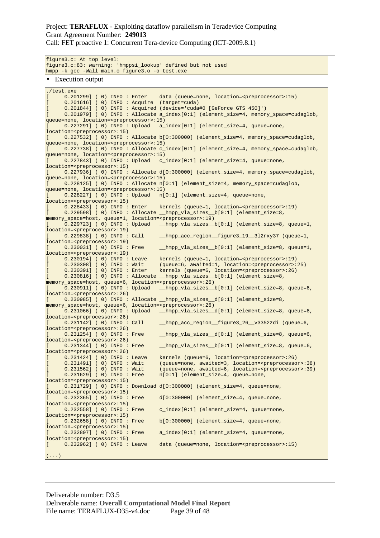Call: FET proactive 1: Concurrent Tera-device Computing (ICT-2009.8.1)

figure3.c: At top level: figure3.c:83: warning: 'hmppsi\_lookup' defined but not used hmpp -k gcc -Wall main.o figure3.o -o test.exe

• Execution output

./test.exe [ 0.201299] ( 0) INFO : Enter data (queue=none, location=<preprocessor>:15) [ 0.201616] ( 0) INFO : Acquire (target=cuda) [ 0.201844] ( 0) INFO : Acquired (device='cuda#0 [GeForce GTS 450]') [ 0.201979] ( 0) INFO : Allocate a\_index[0:1] (element\_size=4, memory\_space=cudaglob, queue=none, location=<preprocessor>:15) [ 0.227291] ( 0) INFO : Upload a\_index[0:1] (element\_size=4, queue=none, location=<preprocessor>:15) [ 0.227532] (0) INFO: Allocate b[0:300000] (element\_size=4, memory\_space=cudaglob, queue=none, location=<preprocessor>:15) [ 0.227738] ( 0) INFO: Allocate c\_index[0:1] (element\_size=4, memory\_space=cudaglob, queue=none, location=<preprocessor>:15) [ 0.227843] ( 0) INFO : Upload c\_index[0:1] (element\_size=4, queue=none, location=<preprocessor>:15) [ 0.227936] ( 0) INFO: Allocate d[0:300000] (element\_size=4, memory\_space=cudaglob, queue=none, location=<preprocessor>:15) [ 0.228125] (0) INFO : Allocate n[0:1] (element\_size=4, memory\_space=cudaglob, queue=none, location=<preprocessor>:15)  $0.228227$ ] ( 0) INFO : Upload  $n[0:1]$  (element\_size=4, queue=none, location=<preprocessor>:15)<br>[ 0.228433] (0) INFO : Enter [ 0.228433] ( 0) INFO : Enter kernels (queue=1, location=<preprocessor>:19) [ 0.229598] ( 0) INFO: Allocate \_\_hmpp\_vla\_sizes\_\_b[0:1] (element\_size=8, memory\_space=host, queue=1, location=<preprocessor>:19) [ 0.229723] ( 0) INFO : Upload \_\_hmpp\_vla\_sizes\_\_b[0:1] (element\_size=8, queue=1, location=<preprocessor>:19) [ 0.229838] ( 0) INFO : Call \_\_hmpp\_acc\_region\_\_figure3\_19\_\_3l2rxy37 (queue=1, location=<preprocessor>:19)<br>[ 0.230031] ( 0) INFO : Free [ 0.230031] ( 0) INFO : Free \_\_\_hmpp\_vla\_sizes\_\_b[0:1] (element\_size=8, queue=1, location=<preprocessor>:19) [ 0.230194] ( 0) INFO : Leave kernels (queue=1, location=<preprocessor>:19) [ 0.230308] ( 0) INFO: Wait (queue=6, awaited=1, location=<preprocessor>:25) [ 0.230391] ( 0) INFO : Enter kernels (queue=6, location=<preprocessor>:26) [ 0.230816] ( 0) INFO: Allocate \_\_hmpp\_vla\_sizes\_\_b[0:1] (element\_size=8, memory\_space=host, queue=6, location=<preprocessor>:26) [ 0.230911] ( 0) INFO : Upload \_\_hmpp\_vla\_sizes\_\_b[0:1] (element\_size=8, queue=6, location=<preprocessor>:26) [ 0.230985] ( 0) INFO : Allocate \_\_hmpp\_vla\_sizes\_\_d[0:1] (element\_size=8, memory\_space=host, queue=6, location=<preprocessor>:26) [ 0.231066] ( 0) INFO : Upload \_\_hmpp\_vla\_sizes\_\_d[0:1] (element\_size=8, queue=6, location=<preprocessor>:26) 0.231142] ( 0) INFO : Call \_\_\_\_hmpp\_acc\_region\_figure3\_26\_v3352zdi (queue=6, location=<preprocessor>:26) [ 0.231254] ( 0) INFO: Free \_\_\_hmpp\_vla\_sizes\_d[0:1] (element\_size=8, queue=6, location=<preprocessor>:26)<br>[ 0.231344] ( 0) INFO : Free  $\lbrack$  hmpp\_vla\_sizes\_\_b[0:1] (element\_size=8, queue=6, location=<preprocessor>:26) [ 0.231424] ( 0) INFO : Leave kernels (queue=6, location=<preprocessor>:26) [ 0.231491] ( 0) INFO : Wait (queue=none, awaited=3, location=<preprocessor>:38) [ 0.231562] ( 0) INFO : Wait (queue=none, awaited=6, location=<preprocessor>:39)  $[ 0.231629]$  ( 0) INFO : Free  $n[0:1]$  (element\_size=4, queue=none, location=<preprocessor>:15)  $[ 0.231729 ]$  ( 0) INFO: Download  $d[0:300000]$  (element size=4, queue=none, location=<preprocessor>:15) [ 0.232365] ( 0) INFO : Free d[0:300000] (element\_size=4, queue=none, location=<preprocessor>:15)<br>[ 0.232558] ( 0) INFO : Free c\_index[0:1] ( element\_size=4, queue=none, location=<preprocessor>:15) [ 0.232658] ( 0) INFO : Free b[0:300000] (element\_size=4, queue=none, location=<preprocessor>:15)  $[ 0.232807 ]$  ( 0) INFO : Free  $a\_index[0:1]$  (element\_size=4, queue=none, location=<preprocessor>:15)<br>[ 0.232962] ( 0) INFO : Leave data ( queue=none, location=<preprocessor>:15)  $( \ldots )$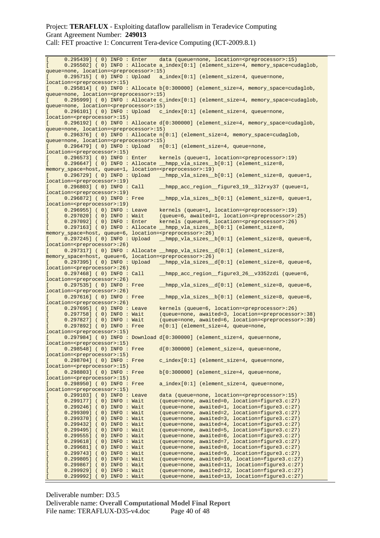Call: FET proactive 1: Concurrent Tera-device Computing (ICT-2009.8.1)

[ 0.295439] ( 0) INFO : Enter data (queue=none, location=<preprocessor>:15) [ 0.295502] ( 0) INFO : Allocate a\_index[0:1] (element\_size=4, memory\_space=cudaglob, queue=none, location=<preprocessor>:15)  $[ 0.295715]$  ( 0) INFO : Upload a\_index $[0:1]$  (element\_size=4, queue=none, location=<preprocessor>:15) [ 0.295814] ( 0) INFO : Allocate b[0:300000] (element\_size=4, memory\_space=cudaglob, queue=none, location=<preprocessor>:15) [ 0.295999] ( 0) INFO : Allocate c\_index[0:1] (element\_size=4, memory\_space=cudaglob, queue=none, location=<preprocessor>:15)  $0.296101$ ] ( 0) INFO : Upload c\_index[0:1] (element\_size=4, queue=none, location=<preprocessor>:15) [ 0.296192] ( 0) INFO : Allocate d[0:300000] (element\_size=4, memory\_space=cudaglob, queue=none, location=<preprocessor>:15) [ 0.296376] ( 0) INFO : Allocate n[0:1] (element\_size=4, memory\_space=cudaglob, queue=none, location=<preprocessor>:15)  $[ 0.296479 ]$  ( 0) INFO : Upload  $[ 0.1 ]$  (element\_size=4, queue=none, location=<preprocessor>:15)<br>[ 0.296573] ( 0) INFO : Enter [ 0.296573] ( 0) INFO : Enter kernels (queue=1, location=<preprocessor>:19) [ 0.296647] ( 0) INFO : Allocate \_\_hmpp\_vla\_sizes\_\_b[0:1] (element\_size=8, memory\_space=host, queue=1, location=<preprocessor>:19) [ 0.296729] ( 0) INFO : Upload \_\_hmpp\_vla\_sizes\_\_b[0:1] (element\_size=8, queue=1, location=<preprocessor>:19)<br>[ 0.296803] ( 0) INFO : Call  $[$  0.296803] (0) INFO: Call hmpp acc\_region figure3 19 3l2rxy37 (queue=1, location=<preprocessor>:19)<br>[ 0.296872] ( 0) INFO : Free \_hmpp\_vla\_sizes\_\_b[0:1] (element\_size=8, queue=1, location=<preprocessor>:19) [ 0.296955] ( 0) INFO : Leave kernels (queue=1, location=<preprocessor>:19) [ 0.297020] ( 0) INFO : Wait (queue=6, awaited=1, location=<preprocessor>:25) [ 0.297092] ( 0) INFO : Enter kernels (queue=6, location=<preprocessor>:26) [ 0.297163] ( 0) INFO : Allocate \_\_hmpp\_vla\_sizes\_\_b[0:1] (element\_size=8, memory\_space=host, queue=6, location=<preprocessor>:26) [ 0.297245] ( 0) INFO: Upload \_\_hmpp\_vla\_sizes\_\_b[0:1] (element\_size=8, queue=6, location=<preprocessor>:26) [ 0.297317] ( 0) INFO : Allocate \_\_hmpp\_vla\_sizes\_\_d[0:1] (element\_size=8, memory\_space=host, queue=6, location=<preprocessor>:26)  $\overline{0.297395}$  ( 0) INFO: Upload  $\text{Impp_vla_sizes_d[0:1]}$  (element\_size=8, queue=6, location=<preprocessor>:26)  $[ 0.297468 ]$  ( 0) INFO : Call \_\_\_\_hmpp\_acc\_region\_\_figure3\_26\_\_v3352zdi (queue=6, location=<preprocessor>:26)<br>[ 0.297535] ( 0) INFO : Free  $[$  0.297535] ( 0) INFO: Free hmpp vla sizes d[0:1] (element size=8, queue=6, location=<preprocessor>:26) [ 0.297616] ( 0) INFO : Free \_\_hmpp\_vla\_sizes\_\_b[0:1] (element\_size=8, queue=6, location=<preprocessor>:26) [ 0.297695] ( 0) INFO : Leave kernels (queue=6, location=<preprocessor>:26) ( queue=none, awaited=3, location=<preprocessor>:38) [ 0.297827] ( 0) INFO : Wait (queue=none, awaited=6, location=<preprocessor>:39)  $[ 0.297892 ]$  ( 0) INFO: Free  $n[0:1]$  (element\_size=4, queue=none, location=<preprocessor>:15) [ 0.297984] ( 0) INFO : Download d[0:300000] (element\_size=4, queue=none, location=<preprocessor>:15) [ 0.298548] ( 0) INFO : Free d[0:300000] (element\_size=4, queue=none, location=<preprocessor>:15)<br>[ 0.298704] ( 0) INFO : Free [ 0.298704] ( 0) INFO : Free c\_index[0:1] (element\_size=4, queue=none, location=<preprocessor>:15) [ 0.298803] ( 0) INFO : Free b[0:300000] (element\_size=4, queue=none, location=<preprocessor>:15)  $[ 0.298950 ]$  ( 0) INFO: Free a\_index $[0:1]$  (element\_size=4, queue=none, location=<preprocessor>:15) ( 0.299103] ( 0) INFO : Leave data (queue=none, location=<preprocessor>:15)<br>
( 0.299177] ( 0) INFO : Wait (queue=none, awaited=0, location=figure3.c:27<br>
( 0.299246] ( 0) INFO : Wait (queue=none, awaited=1, location=figure3 [ 0.299177] ( 0) INFO : Wait (queue=none, awaited=0, location=figure3.c:27) [ 0.299246] ( 0) INFO : Wait (queue=none, awaited=1, location=figure3.c:27) [ 0.299309] ( 0) INFO : Wait (queue=none, awaited=2, location=figure3.c:27) [ 0.299370] ( 0) INFO : Wait (queue=none, awaited=3, location=figure3.c:27) [ 0.299432] ( 0) INFO : Wait (queue=none, awaited=4, location=figure3.c:27) [ 0.299495] ( 0) INFO : Wait (queue=none, awaited=5, location=figure3.c:27) [ 0.299555] ( 0) INFO : Wait (queue=none, awaited=6, location=figure3.c:27) [ 0.299618] ( 0) INFO : Wait (queue=none, awaited=7, location=figure3.c:27) [ 0.299681] ( 0) INFO : Wait (queue=none, awaited=8, location=figure3.c:27) [ 0.299743] ( 0) INFO : Wait (queue=none, awaited=9, location=figure3.c:27) [ 0.299805] ( 0) INFO : Wait (queue=none, awaited=10, location=figure3.c:27) [ 0.299867] ( 0) INFO : Wait (queue=none, awaited=11, location=figure3.c:27) [ 0.299929] ( 0) INFO : Wait (queue=none, awaited=12, location=figure3.c:27) [ 0.299992] ( 0) INFO : Wait (queue=none, awaited=13, location=figure3.c:27)

Deliverable number: D3.5 Deliverable name: **Overall Computational Model Final Report** File name: TERAFLUX-D35-v4.doc Page 40 of 48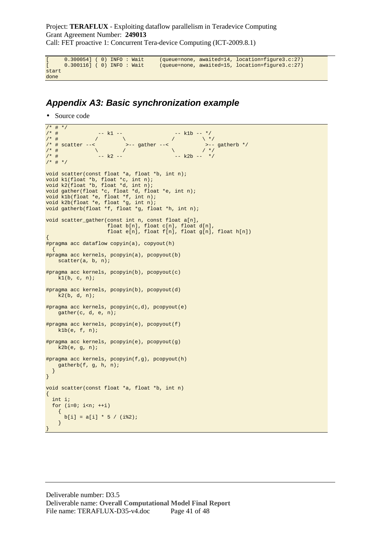```
[ 0.300054] ( 0) INFO : Wait (queue=none, awaited=14, location=figure3.c:27) 
[ 0.300116] ( 0) INFO : Wait (queue=none, awaited=15, location=figure3.c:27) 
start 
done
```
### **Appendix A3: Basic synchronization example**

• Source code

```
/* # */<br>/* #
/* # -- k1 --/* # \qquad / \qquad \qquad / \qquad / \qquad / \qquad / \qquad / \qquad / \qquad / \qquad / \qquad / \qquad / \qquad / \qquad / \qquad / \qquad / \qquad / \qquad / \qquad / \qquad / \qquad / \qquad / \qquad / \qquad / \qquad / \qquad / \qquad / \/* # scatter --< >-- gather --< >-- gatherb */ 
/* # \qquad \qquad / \qquad / \qquad \qquad / \qquad \qquad / \qquad \qquad / \qquad \qquad / \qquad \qquad / \qquad \qquad / \qquad \qquad/* # -- k2 -- -- -- -- k2b -- */
7*  # *void scatter(const float *a, float *b, int n); 
void k1(float *b, float *c, int n); 
void k2(float *b, float *d, int n); 
void gather(float *c, float *d, float *e, int n); 
void k1b(float *e, float *f, int n); 
void k2b(float *e, float *g, int n); 
void gatherb(float *f, float *g, float *h, int n); 
void scatter_gather(const int n, const float a[n], 
float b[n], float c[n], float d[n],
float e[n], float f[n], float g[n], float h[n])
{ 
#pragma acc dataflow copyin(a), copyout(h) 
   { 
#pragma acc kernels, pcopyin(a), pcopyout(b) 
   scatter(a, b, n);
#pragma acc kernels, pcopyin(b), pcopyout(c) 
   k1(b, c, n);
#pragma acc kernels, pcopyin(b), pcopyout(d) 
     k2(b, d, n); 
#pragma acc kernels, pcopyin(c,d), pcopyout(e) 
    gather(c, d, e, n); 
#pragma acc kernels, pcopyin(e), pcopyout(f) 
    k1b(e, f, n); 
#pragma acc kernels, pcopyin(e), pcopyout(g) 
    k2b(e, g, n); 
#pragma acc kernels, pcopyin(f,g), pcopyout(h) 
     gatherb(f, g, h, n); 
   } 
} 
void scatter(const float *a, float *b, int n) 
\left\{ \right. int i; 
  for (i=0; i<n; ++i) { 
      b[i] = a[i] * 5 / (i2); } 
}
```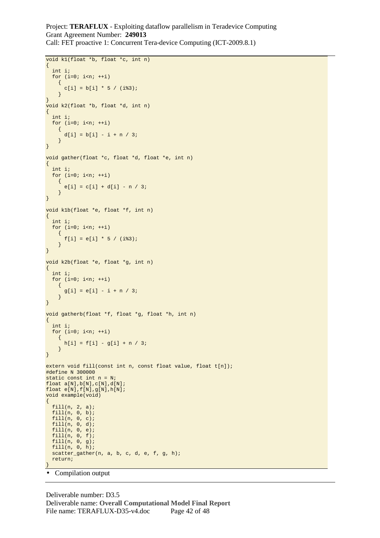```
void k1(float *b, float *c, int n) 
{ 
   int i; 
  for (i=0; i<n; ++i)\left\{ \right.c[i] = b[i] * 5 / (i\%3);
     } 
} 
void k2(float *b, float *d, int n) 
{ 
   int i; 
  for (i=0; i<n; ++i)\left\{ \right.d[i] = b[i] - i + n / 3; } 
} 
void gather(float *c, float *d, float *e, int n) 
{ 
   int i; 
  for (i=0; i<n; ++i) { 
      e[i] = c[i] + d[i] - n / 3; } 
} 
void k1b(float *e, float *f, int n) 
{ 
   int i; 
  for (i=0; i<n; ++i) { 
      f[i] = e[i] * 5 / (i83); } 
} 
void k2b(float *e, float *g, int n) 
{ 
   int i; 
  for (i=0; i<n; ++i) { 
      g[i] = e[i] - i + n / 3; } 
} 
void gatherb(float *f, float *g, float *h, int n) 
{ 
   int i; 
 for (i=0; i<n; ++i) { 
      h[i] = f[i] - g[i] + n / 3; } 
} 
extern void fill(const int n, const float value, float t[n]);
#define N 300000 
static const int n = N; 
float a[N],b[N],c[N],d[N]; 
float e[N],f[N],g[N],h[N]; 
void example(void) 
{ 
   fill(n, 2, a); 
 fill(n, 0, b); 
 fill(n, 0, c); 
   fill(n, 0, d); 
  fill(n, 0, e);
   fill(n, 0, f); 
 fill(n, 0, g); 
 fill(n, 0, h); 
   scatter_gather(n, a, b, c, d, e, f, g, h); 
   return; 
}
```
• Compilation output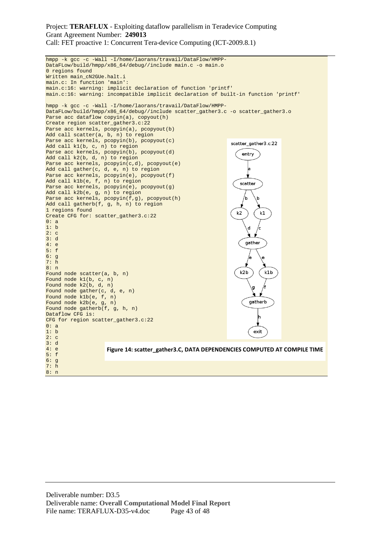```
hmpp -k gcc -c -Wall -I/home/laorans/travail/DataFlow/HMPP-
DataFLow/build/hmpp/x86_64/debug//include main.c -o main.o 
0 regions found 
Written main_cN2GUe.halt.i 
main.c: In function 'main': 
main.c:16: warning: implicit declaration of function 'printf' 
main.c:16: warning: incompatible implicit declaration of built-in function 'printf' 
hmpp -k gcc -c -Wall -I/home/laorans/travail/DataFlow/HMPP-
DataFLow/build/hmpp/x86_64/debug//include scatter_gather3.c -o scatter_gather3.o 
Parse acc dataflow copyin(a), copyout(h)
Create region scatter_gather3.c:22 
Parse acc kernels, pcopyin(a), pcopyout(b)
Add call scatter(a, b, n) to region 
Parse acc kernels, pcopyin(b), pcopyout(c)
                                                                 scatter_gather3.c:22
Add call k1(b, c, n) to region 
Parse acc kernels, pcopyin(b), pcopyout(d)
                                                                     entry
Add call k2(b, d, n) to region 
Parse acc kernels, pcopyin(c,d), pcopyout(e)
Add call gather(c, d, e, n) to region 
                                                                       la
Parse acc kernels, pcopyin(e), pcopyout(f)
Add call k1b(e, f, n) to region 
                                                                    scatter
Parse acc kernels, pcopyin(e), pcopyout(g)
Add call k2b(e, g, n) to region 
Parse acc kernels, pcopyin(f,g), pcopyout(h)
                                                                     /h
Add call gatherb(f, g, h, n) to region 
1 regions found 
                                                                   k2
                                                                           \mathsf{k}^{\mathtt{r}}Create CFG for: scatter_gather3.c:22 
0: a 
1: b 
                                                                       d
                                                                           /c
2: c 
3: d 
                                                                      gather
4: e 
5: f 
6: g 
7: h 
8: n 
                                                                    k2b
                                                                             k<sub>1</sub>bFound node scatter(a, b, n) 
Found node k1(b, c, n) 
Found node k2(b, d, n) 
                                                                        d
Found node gather(c, d, e, n) 
Found node k1b(e, f, n) 
                                                                       gatherb
Found node k2b(e, g, n) 
Found node gatherb(f, g, h, n) 
Dataflow CFG is: 
CFG for region scatter_gather3.c:22 
0: a 
1: b 
                                                                         exit
2: c 
3: d 
4: e 
                     Figure 14: scatter_gather3.C, DATA DEPENDENCIES COMPUTED AT COMPILE TIME5: f 
6: g 
7: h 
8: n
```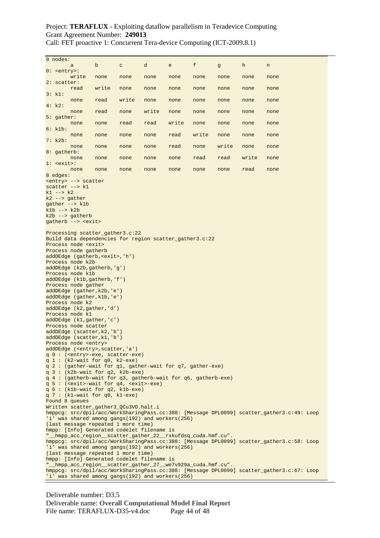Call: FET proactive 1: Concurrent Tera-device Computing (ICT-2009.8.1)

| 9 nodes:                                                                                                                                                                                                                                                                                            |                                                                                                                                                                                                                                                                                                                                                                                                                                                                                                                                                                                                                                                                                                                                                                                                                                                                                                                                                                                                                                                                                                                                                                                                                                                                                                                                                                                                                                                                                                                                                   |       |              |       |       |       |       |       |                                                                                                                                                                                        |
|-----------------------------------------------------------------------------------------------------------------------------------------------------------------------------------------------------------------------------------------------------------------------------------------------------|---------------------------------------------------------------------------------------------------------------------------------------------------------------------------------------------------------------------------------------------------------------------------------------------------------------------------------------------------------------------------------------------------------------------------------------------------------------------------------------------------------------------------------------------------------------------------------------------------------------------------------------------------------------------------------------------------------------------------------------------------------------------------------------------------------------------------------------------------------------------------------------------------------------------------------------------------------------------------------------------------------------------------------------------------------------------------------------------------------------------------------------------------------------------------------------------------------------------------------------------------------------------------------------------------------------------------------------------------------------------------------------------------------------------------------------------------------------------------------------------------------------------------------------------------|-------|--------------|-------|-------|-------|-------|-------|----------------------------------------------------------------------------------------------------------------------------------------------------------------------------------------|
| $0:$ <entry>:</entry>                                                                                                                                                                                                                                                                               | a                                                                                                                                                                                                                                                                                                                                                                                                                                                                                                                                                                                                                                                                                                                                                                                                                                                                                                                                                                                                                                                                                                                                                                                                                                                                                                                                                                                                                                                                                                                                                 | b     | $\mathtt{C}$ | d     | e     | f     | g     | h     | n                                                                                                                                                                                      |
| $2:$ scatter:                                                                                                                                                                                                                                                                                       | write                                                                                                                                                                                                                                                                                                                                                                                                                                                                                                                                                                                                                                                                                                                                                                                                                                                                                                                                                                                                                                                                                                                                                                                                                                                                                                                                                                                                                                                                                                                                             | none  | none         | none  | none  | none  | none  | none  | none                                                                                                                                                                                   |
| 3: k1:                                                                                                                                                                                                                                                                                              | read                                                                                                                                                                                                                                                                                                                                                                                                                                                                                                                                                                                                                                                                                                                                                                                                                                                                                                                                                                                                                                                                                                                                                                                                                                                                                                                                                                                                                                                                                                                                              | write | none         | none  | none  | none  | none  | none  | none                                                                                                                                                                                   |
|                                                                                                                                                                                                                                                                                                     | none                                                                                                                                                                                                                                                                                                                                                                                                                                                                                                                                                                                                                                                                                                                                                                                                                                                                                                                                                                                                                                                                                                                                                                                                                                                                                                                                                                                                                                                                                                                                              | read  | write        | none  | none  | none  | none  | none  | none                                                                                                                                                                                   |
| 4: k2:                                                                                                                                                                                                                                                                                              | none                                                                                                                                                                                                                                                                                                                                                                                                                                                                                                                                                                                                                                                                                                                                                                                                                                                                                                                                                                                                                                                                                                                                                                                                                                                                                                                                                                                                                                                                                                                                              | read  | none         | write | none  | none  | none  | none  | none                                                                                                                                                                                   |
| $5:$ gather:                                                                                                                                                                                                                                                                                        | none                                                                                                                                                                                                                                                                                                                                                                                                                                                                                                                                                                                                                                                                                                                                                                                                                                                                                                                                                                                                                                                                                                                                                                                                                                                                                                                                                                                                                                                                                                                                              | none  | read         | read  | write | none  | none  | none  | none                                                                                                                                                                                   |
| 6: k1b:                                                                                                                                                                                                                                                                                             | none                                                                                                                                                                                                                                                                                                                                                                                                                                                                                                                                                                                                                                                                                                                                                                                                                                                                                                                                                                                                                                                                                                                                                                                                                                                                                                                                                                                                                                                                                                                                              | none  | none         | none  | read  | write | none  | none  | none                                                                                                                                                                                   |
| 7: k2b:                                                                                                                                                                                                                                                                                             | none                                                                                                                                                                                                                                                                                                                                                                                                                                                                                                                                                                                                                                                                                                                                                                                                                                                                                                                                                                                                                                                                                                                                                                                                                                                                                                                                                                                                                                                                                                                                              | none  | none         | none  | read  | none  | write | none  | none                                                                                                                                                                                   |
| 8: gatherb:                                                                                                                                                                                                                                                                                         | none                                                                                                                                                                                                                                                                                                                                                                                                                                                                                                                                                                                                                                                                                                                                                                                                                                                                                                                                                                                                                                                                                                                                                                                                                                                                                                                                                                                                                                                                                                                                              | none  | none         | none  | none  | read  | read  | write | none                                                                                                                                                                                   |
| $1:$ $\leq$ $\leq$ $\leq$ $\leq$ $\leq$ $\leq$ $\leq$ $\leq$ $\leq$ $\leq$ $\leq$ $\leq$ $\leq$ $\leq$ $\leq$ $\leq$ $\leq$ $\leq$ $\leq$ $\leq$ $\leq$ $\leq$ $\leq$ $\leq$ $\leq$ $\leq$ $\leq$ $\leq$ $\leq$ $\leq$ $\leq$ $\leq$ $\leq$ $\leq$ $\leq$ $\leq$                                    |                                                                                                                                                                                                                                                                                                                                                                                                                                                                                                                                                                                                                                                                                                                                                                                                                                                                                                                                                                                                                                                                                                                                                                                                                                                                                                                                                                                                                                                                                                                                                   |       |              |       |       |       |       |       |                                                                                                                                                                                        |
| 8 edges:                                                                                                                                                                                                                                                                                            | none                                                                                                                                                                                                                                                                                                                                                                                                                                                                                                                                                                                                                                                                                                                                                                                                                                                                                                                                                                                                                                                                                                                                                                                                                                                                                                                                                                                                                                                                                                                                              | none  | none         | none  | none  | none  | none  | read  | none                                                                                                                                                                                   |
| scatter $--$ kl<br>$k1$ --> $k2$<br>$k2$ --> gather<br>$gather --> k1b$<br>$k1b$ --> $k2b$<br>Found 8 queues                                                                                                                                                                                        | <entry> --&gt; scatter<br/><math>k2b</math> --&gt; gatherb<br/>gatherb --&gt; <exit><br/>Processing scatter_gather3.c:22<br/>Build data dependencies for region scatter_gather3.c:22<br/>Process node <exit><br/>Process node gatherb<br/>addDEdge (gatherb, <exit>, 'h')<br/>Process node k2b<br/>addDEdge (k2b, gatherb, 'g')<br/>Process node klb<br/>addDEdge (klb, gatherb, 'f')<br/>Process node gather<br/>addDEdge (gather, k2b, 'e')<br/>addDEdge (gather, k1b, 'e')<br/>Process node k2<br/>addDEdge (k2, gather, 'd')<br/>Process node k1<br/>addDEdge (k1, gather, 'c')<br/>Process node scatter<br/>addDEdge (scatter, k2, 'b')<br/>addDEdge (scatter, k1, 'b')<br/>Process node <entry><br/>addDEdge (<entry>, scatter, 'a')<br/>q 0: (<entry>-exe, scatter-exe)<br/>q 1: <math>(k2-wait for q0, k2-exe)</math><br/>q 2: (gather-wait for q1, gather-wait for q7, gather-exe)<br/><math>q</math> 3: (k2b-wait for <math>q2</math>, k2b-exe)<br/>q 4: (gatherb-wait for q3, gatherb-wait for q6, gatherb-exe)<br/><math>q 5</math>: (<exit>-wait for <math>q4</math>, <exit>-exe)<br/><math>q 6:</math> (klb-wait for <math>q2</math>, klb-exe)<br/>q 7: <math>(k1</math>-wait for q0, <math>k1</math>-exe)<br/>Written scatter_gather3_QCu3VO.halt.i<br/>'i' was shared among gangs(192) and workers(256)<br/>(last message repeated 1 more time)<br/>hmpp: [Info] Generated codelet filename is<br/>"_hmpp_acc_region_scatter_gather_22__rxkufdsq_cuda.hmf.cu".</exit></exit></entry></entry></entry></exit></exit></exit></entry> |       |              |       |       |       |       |       | hmppcg: src/dpil/acc/WorkSharingPass.cc:388: [Message DPL0099] scatter_gather3.c:49: Loop<br>hmppcg: src/dpil/acc/WorkSharingPass.cc:388: [Message DPL0099] scatter_gather3.c:58: Loop |
| 'i' was shared among gangs(192) and workers(256)<br>(last message repeated 1 more time)<br>hmpp: [Info] Generated codelet filename is<br>"__hmpp_acc_region__scatter_gather_27__we7v929a_cuda.hmf.cu".<br>hmppcg: src/dpil/acc/WorkSharingPass.cc:388: [Message DPL0099] scatter_gather3.c:67: Loop |                                                                                                                                                                                                                                                                                                                                                                                                                                                                                                                                                                                                                                                                                                                                                                                                                                                                                                                                                                                                                                                                                                                                                                                                                                                                                                                                                                                                                                                                                                                                                   |       |              |       |       |       |       |       |                                                                                                                                                                                        |
|                                                                                                                                                                                                                                                                                                     | 'i' was shared among gangs (192) and workers (256)                                                                                                                                                                                                                                                                                                                                                                                                                                                                                                                                                                                                                                                                                                                                                                                                                                                                                                                                                                                                                                                                                                                                                                                                                                                                                                                                                                                                                                                                                                |       |              |       |       |       |       |       |                                                                                                                                                                                        |

Deliverable number: D3.5 Deliverable name: **Overall Computational Model Final Report** File name: TERAFLUX-D35-v4.doc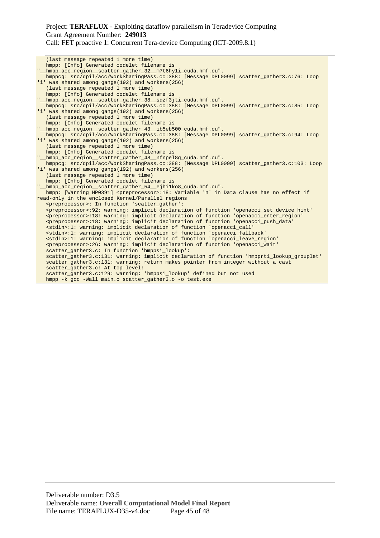(last message repeated 1 more time) hmpp: [Info] Generated codelet filename is "\_\_hmpp\_acc\_region\_\_scatter\_gather\_32\_\_m7t6hy1i\_cuda.hmf.cu". hmppcg: src/dpil/acc/WorkSharingPass.cc:388: [Message DPL0099] scatter\_gather3.c:76: Loop 'i' was shared among gangs(192) and workers(256) (last message repeated 1 more time) hmpp: [Info] Generated codelet filename is "\_\_hmpp\_acc\_region\_\_scatter\_gather\_38\_\_sqzf3jti\_cuda.hmf.cu". hmppcg: src/dpil/acc/WorkSharingPass.cc:388: [Message DPL0099] scatter\_gather3.c:85: Loop 'i' was shared among gangs(192) and workers(256) (last message repeated 1 more time) hmpp: [Info] Generated codelet filename is "\_\_hmpp\_acc\_region\_\_scatter\_gather\_43\_\_ib5eb500\_cuda.hmf.cu". hmppcg: src/dpil/acc/WorkSharingPass.cc:388: [Message DPL0099] scatter\_gather3.c:94: Loop 'i' was shared among gangs(192) and workers(256) (last message repeated 1 more time) hmpp: [Info] Generated codelet filename is "\_\_hmpp\_acc\_region\_\_scatter\_gather\_48\_\_nfnpel8g\_cuda.hmf.cu". hmppcg: src/dpil/acc/WorkSharingPass.cc:388: [Message DPL0099] scatter\_gather3.c:103: Loop 'i' was shared among gangs(192) and workers(256) (last message repeated 1 more time) hmpp: [Info] Generated codelet filename is "\_\_hmpp\_acc\_region\_\_scatter\_gather\_54\_\_ejhi1ko8\_cuda.hmf.cu". hmpp: [Warning HP0391] <preprocessor>:18: Variable 'n' in Data clause has no effect if read-only in the enclosed Kernel/Parallel regions <preprocessor>: In function 'scatter\_gather': <preprocessor>:92: warning: implicit declaration of function 'openacci\_set\_device\_hint' <preprocessor>:18: warning: implicit declaration of function 'openacci\_enter\_region' <preprocessor>:18: warning: implicit declaration of function 'openacci\_push\_data' <stdin>:1: warning: implicit declaration of function 'openacci\_call' <stdin>:1: warning: implicit declaration of function 'openacci\_fallback' <stdin>:1: warning: implicit declaration of function 'openacci\_leave\_region' <preprocessor>:26: warning: implicit declaration of function 'openacci\_wait' scatter\_gather3.c: In function 'hmppsi\_lookup': scatter\_gather3.c:131: warning: implicit declaration of function 'hmpprti\_lookup\_grouplet' scatter\_gather3.c:131: warning: return makes pointer from integer without a cast scatter\_gather3.c: At top level: scatter\_gather3.c:129: warning: 'hmppsi\_lookup' defined but not used hmpp -k gcc -Wall main.o scatter\_gather3.o -o test.exe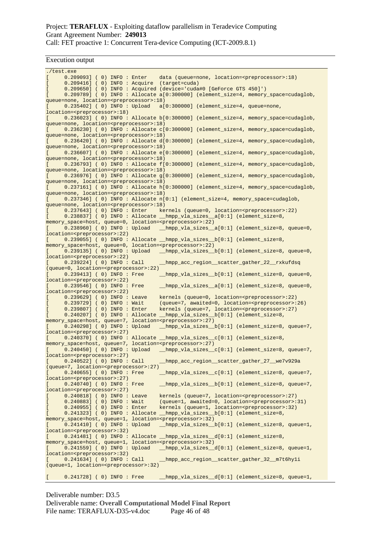Execution output

| ./test.exe                                                                                                         |                                                                                                                                                   |
|--------------------------------------------------------------------------------------------------------------------|---------------------------------------------------------------------------------------------------------------------------------------------------|
| $0.209093$ ] (0) INFO: Enter                                                                                       | data (queue=none, location= <preprocessor>:18)</preprocessor>                                                                                     |
| L                                                                                                                  | $0.209416$ (0) INFO: Acquire (target=cuda)                                                                                                        |
|                                                                                                                    | 0.209650] (0) INFO: Acquired (device='cuda#0 [GeForce GTS 450]')                                                                                  |
| I.<br>queue=none, location= <preprocessor>:18)</preprocessor>                                                      | 0.209789] (0) INFO: Allocate a[0:300000] (element_size=4, memory_space=cudaglob,                                                                  |
| L                                                                                                                  | 0.235402] (0) INFO: Upload a[0:300000] (element_size=4, queue=none,                                                                               |
| location= <preprocessor>:18)</preprocessor>                                                                        |                                                                                                                                                   |
|                                                                                                                    | $0.236023$ ] (0) INFO: Allocate b[ $0:300000$ ] (element_size=4, memory_space=cudaglob,                                                           |
| queue=none, location= <preprocessor>:18)</preprocessor>                                                            |                                                                                                                                                   |
| L                                                                                                                  | 0.236230] (0) INFO: Allocate c[0:300000] (element_size=4, memory_space=cudaglob,                                                                  |
| queue=none, location= <preprocessor>:18)</preprocessor>                                                            |                                                                                                                                                   |
| queue=none, location= <preprocessor>:18)</preprocessor>                                                            | $0.236420$ ] (0) INFO: Allocate d[ $0:300000$ ] (element_size=4, memory_space=cudaqlob,                                                           |
| T.                                                                                                                 | 0.236607] (0) INFO: Allocate e[0:300000] (element_size=4, memory_space=cudaglob,                                                                  |
| queue=none, location= <preprocessor>:18)</preprocessor>                                                            |                                                                                                                                                   |
|                                                                                                                    | 0.236793] (0) INFO: Allocate f[0:300000] (element_size=4, memory_space=cudaglob,                                                                  |
| queue=none, location= <preprocessor>:18)</preprocessor>                                                            |                                                                                                                                                   |
|                                                                                                                    | 0.236976] (0) INFO: Allocate g[0:300000] (element_size=4, memory_space=cudaglob,                                                                  |
| queue=none, location= <preprocessor>:18)</preprocessor>                                                            | 0.237161] (0) INFO: Allocate h[0:300000] (element_size=4, memory_space=cudaglob,                                                                  |
| queue=none, location= <preprocessor>:18)</preprocessor>                                                            |                                                                                                                                                   |
|                                                                                                                    | 0.237346] (0) INFO: Allocate n[0:1] (element_size=4, memory_space=cudaglob,                                                                       |
| queue=none, location= <preprocessor>:18)</preprocessor>                                                            |                                                                                                                                                   |
| $0.237643$ ] (0) INFO : Enter                                                                                      | kernels (queue=0, location= <preprocessor>:22)</preprocessor>                                                                                     |
| $\mathbb{R}$                                                                                                       | 0.238837] (0) INFO: Allocate hmpp_vla_sizes_a[0:1] (element_size=8,                                                                               |
| memory_space=host, queue=0, location= <preprocessor>:22)</preprocessor>                                            |                                                                                                                                                   |
| L<br>location= <preprocessor>:22)</preprocessor>                                                                   | 0.238960] (0) INFO: Upload hmpp_vla_sizes_a[0:1] (element_size=8, queue=0,                                                                        |
|                                                                                                                    | 0.239055] (0) INFO: Allocate hmpp_vla_sizes_b[0:1] (element_size=8,                                                                               |
|                                                                                                                    | memory_space=host, queue=0, location= <preprocessor>:22)</preprocessor>                                                                           |
|                                                                                                                    | 0.239135] (0) INFO: Upload __hmpp_vla_sizes_b[0:1] (element_size=8, queue=0,                                                                      |
| location= <preprocessor>:22)</preprocessor>                                                                        |                                                                                                                                                   |
| $0.239224$ ] ( 0) INFO : Call                                                                                      | _hmpp_acc_region_scatter_gather_22_rxkufdsq                                                                                                       |
| (queue=0, location= <preprocessor>:22)</preprocessor>                                                              |                                                                                                                                                   |
| $0.239413$ ] ( 0) INFO : Free<br>location= <preprocessor>:22)</preprocessor>                                       | _hmpp_vla_sizes_b[0:1] (element_size=8, queue=0,                                                                                                  |
| 0.239546] ( 0) INFO : Free                                                                                         | _hmpp_vla_sizes_a[0:1] (element_size=8, queue=0,                                                                                                  |
| location= <preprocessor>:22)</preprocessor>                                                                        |                                                                                                                                                   |
| $0.239629$ ] ( 0) INFO : Leave                                                                                     | kernels (queue=0, location= <preprocessor>:22)</preprocessor>                                                                                     |
| $0.239729$ ] ( 0) INFO : Wait                                                                                      | (queue=7, awaited=0, location= <preprocessor>:26)</preprocessor>                                                                                  |
| 0.239807] ( 0) INFO : Enter<br>L.                                                                                  | kernels (queue=7, location= <preprocessor>:27)<br/>0.240207] (0) INFO: Allocate hmpp_vla_sizes_b[0:1] (element_size=8,</preprocessor>             |
| L                                                                                                                  | memory_space=host, queue=7, location= <preprocessor>:27)</preprocessor>                                                                           |
| 0.240298] ( 0) INFO : Upload<br>$\mathbf{L}$                                                                       | _hmpp_vla_sizes_b[0:1] (element_size=8, queue=7,                                                                                                  |
| location= <preprocessor>:27)</preprocessor>                                                                        |                                                                                                                                                   |
| $\mathbb{R}$                                                                                                       | 0.240370] (0) INFO: Allocate _hmpp_vla_sizes_c[0:1] (element_size=8,                                                                              |
|                                                                                                                    | memory_space=host, queue=7, location= <preprocessor>:27)</preprocessor>                                                                           |
| $\Gamma$                                                                                                           | 0.240450] (0) INFO: Upload __hmpp_vla_sizes_c[0:1] (element_size=8, queue=7,                                                                      |
| location= <preprocessor>:27)<br/><math>0.240522</math> ( 0) INFO : Call<br/><math>\mathbf{L}</math></preprocessor> | hmpp_acc_region__scatter_gather_27__we7v929a                                                                                                      |
| (queue=7, location= <preprocessor>:27)</preprocessor>                                                              |                                                                                                                                                   |
| 0.240655] ( 0) INFO : Free<br>L                                                                                    | _hmpp_vla_sizes_c[0:1] (element_size=8, queue=7,                                                                                                  |
| location= <preprocessor>:27)</preprocessor>                                                                        |                                                                                                                                                   |
| 0.240740] ( 0) INFO : Free<br>$\mathbb{L}$                                                                         | _hmpp_vla_sizes__b[0:1] (element_size=8, queue=7,                                                                                                 |
| location= <preprocessor>:27)</preprocessor>                                                                        |                                                                                                                                                   |
| 0.240818] ( 0) INFO : Leave<br>$\mathbf{L}$<br>$0.240883$ ] ( 0) INFO : Wait<br>$\mathbf{r}$                       | kernels (queue=7, location= <preprocessor>:27)<br/>(queue=1, awaited=0, location=<preprocessor>:31)</preprocessor></preprocessor>                 |
| 0.240955] ( 0) INFO : Enter<br>I.                                                                                  | kernels (queue=1, location= <preprocessor>:32)</preprocessor>                                                                                     |
| $\mathbf{L}$                                                                                                       | 0.241323] (0) INFO: Allocate hmpp_vla_sizes_b[0:1] (element_size=8,                                                                               |
|                                                                                                                    | memory_space=host, queue=1, location= <preprocessor>:32)</preprocessor>                                                                           |
| 0.241410] ( 0) INFO : Upload<br>$\mathbb{R}$                                                                       | _hmpp_vla_sizes_b[0:1] (element_size=8, queue=1,                                                                                                  |
| location= <preprocessor>:32)</preprocessor>                                                                        |                                                                                                                                                   |
| $\mathbf{L}$                                                                                                       | $0.241481$ ] (0) INFO: Allocate hmpp_vla_sizes_d[0:1] (element_size=8,<br>memory_space=host, queue=1, location= <preprocessor>:32)</preprocessor> |
| L                                                                                                                  | 0.241559] (0) INFO: Upload __hmpp_vla_sizes_d[0:1] (element_size=8, queue=1,                                                                      |
| location= <preprocessor>:32)</preprocessor>                                                                        |                                                                                                                                                   |
| $0.241634$ ] ( 0) INFO : Call<br>$\mathbf{L}$                                                                      | hmpp_acc_region_scatter_gather_32_m7t6hyli                                                                                                        |
| (queue=1, location= <preprocessor>:32)</preprocessor>                                                              |                                                                                                                                                   |
|                                                                                                                    |                                                                                                                                                   |
| $0.241728$ (0) INFO : Free<br>$\mathbb{R}$                                                                         | hmpp_vla_sizes_d[0:1] (element_size=8, queue=1,                                                                                                   |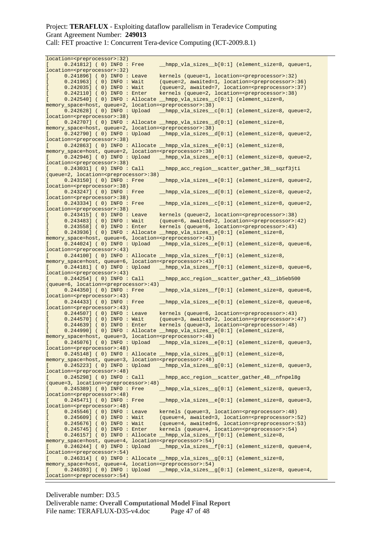Call: FET proactive 1: Concurrent Tera-device Computing (ICT-2009.8.1)

| location= <preprocessor>:32)</preprocessor>           |                                                                              |
|-------------------------------------------------------|------------------------------------------------------------------------------|
| 0.241812] ( 0) INFO : Free                            | _hmpp_vla_sizes_b[0:1] (element_size=8, queue=1,                             |
| location= <preprocessor>:32)</preprocessor>           |                                                                              |
| 0.241896] ( 0) INFO : Leave<br>$\mathbf{r}$           | kernels (queue=1, location= <preprocessor>:32)</preprocessor>                |
|                                                       |                                                                              |
| $0.241963$ ] (0) INFO: Wait                           | (queue=2, awaited=1, location= <preprocessor>:36)</preprocessor>             |
| $0.242035$ ] ( 0) INFO : Wait<br>$\mathbf{r}$         | (queue=2, awaited=7, location= <preprocessor>:37)</preprocessor>             |
| 0.242110] ( 0) INFO : Enter<br>$\mathbf{r}$           | kernels (queue=2, location= <preprocessor>:38)</preprocessor>                |
| $\mathfrak{r}$                                        | $0.242540$ ] (0) INFO: Allocate hmpp_vla_sizes_c[0:1] (element_size=8,       |
|                                                       |                                                                              |
|                                                       | memory_space=host, queue=2, location= <preprocessor>:38)</preprocessor>      |
| 0.242628] ( 0) INFO : Upload<br>L                     | _hmpp_vla_sizes_c[0:1] (element_size=8, queue=2,                             |
| location= <preprocessor>:38)</preprocessor>           |                                                                              |
| $\mathbb{R}$                                          | 0.242707] (0) INFO: Allocate _hmpp_vla_sizes_d[0:1] (element_size=8,         |
|                                                       |                                                                              |
|                                                       | memory_space=host, queue=2, location= <preprocessor>:38)</preprocessor>      |
| 0.242790] ( 0) INFO : Upload<br>$\mathbb{R}$          | hmpp_vla_sizes_d[0:1] (element_size=8, queue=2,                              |
| location= <preprocessor>:38)</preprocessor>           |                                                                              |
| L                                                     | 0.242863] (0) INFO: Allocate _hmpp_vla_sizes_e[0:1] (element_size=8,         |
|                                                       |                                                                              |
|                                                       | memory_space=host, queue=2, location= <preprocessor>:38)</preprocessor>      |
| $0.242946$ (0) INFO : Upload<br>L                     | _hmpp_vla_sizes__e[0:1] (element_size=8, queue=2,                            |
| location= <preprocessor>:38)</preprocessor>           |                                                                              |
| $0.243031$ ] ( 0) INFO : Call<br>L                    | hmpp_acc_region__scatter_gather_38__sqzf3jti                                 |
|                                                       |                                                                              |
| (queue=2, location= <preprocessor>:38)</preprocessor> |                                                                              |
| 0.243150] ( 0) INFO : Free<br>L                       | _hmpp_vla_sizes_e[0:1] (element_size=8, queue=2,                             |
| location= <preprocessor>:38)</preprocessor>           |                                                                              |
| 0.243247] ( 0) INFO : Free<br>L                       | _hmpp_vla_sizes_d[0:1] (element_size=8, queue=2,                             |
|                                                       |                                                                              |
| location= <preprocessor>:38)</preprocessor>           |                                                                              |
| 0.243334] ( 0) INFO : Free<br>L                       | hmpp_vla_sizes_c[0:1] (element_size=8, queue=2,                              |
| location= <preprocessor>:38)</preprocessor>           |                                                                              |
| 0.243415] ( 0) INFO : Leave<br>L                      | kernels (queue=2, location= <preprocessor>:38)</preprocessor>                |
|                                                       |                                                                              |
| 0.243483] ( 0) INFO : Wait<br>$\mathbf{r}$            | (queue=6, awaited=2, location= <preprocessor>:42)</preprocessor>             |
| 0.243558] ( 0) INFO : Enter<br>$\mathbf{r}$           | kernels (queue=6, location= <preprocessor>:43)</preprocessor>                |
| $\mathbf{r}$                                          | 0.243936] (0) INFO: Allocate hmpp_vla_sizes_e[0:1] (element_size=8,          |
|                                                       | memory_space=host, queue=6, location= <preprocessor>:43)</preprocessor>      |
|                                                       |                                                                              |
| 0.244024] ( 0) INFO : Upload<br>$\mathbb{I}$          | _hmpp_vla_sizes_e[0:1] (element_size=8, queue=6,                             |
| location= <preprocessor>:43)</preprocessor>           |                                                                              |
| T.                                                    | 0.244100] (0) INFO: Allocate hmpp_vla_sizes_f[0:1] (element_size=8,          |
|                                                       |                                                                              |
|                                                       | memory_space=host, queue=6, location= <preprocessor>:43)</preprocessor>      |
| L                                                     | 0.244181] (0) INFO: Upload __hmpp_vla_sizes_f[0:1] (element_size=8, queue=6, |
|                                                       |                                                                              |
|                                                       |                                                                              |
| location= <preprocessor>:43)</preprocessor>           |                                                                              |
| $0.244254$ ] ( 0) INFO : Call<br>L                    | hmpp_acc_region__scatter_gather_43__ib5eb500                                 |
| (queue=6, location= <preprocessor>:43)</preprocessor> |                                                                              |
| 0.244350] ( 0) INFO : Free<br>L                       |                                                                              |
|                                                       | _hmpp_vla_sizes_f[0:1] (element_size=8, queue=6,                             |
| location= <preprocessor>:43)</preprocessor>           |                                                                              |
| 0.244433] ( 0) INFO : Free<br>L                       | hmpp_vla_sizes_e[0:1] (element_size=8, queue=6,                              |
| location= <preprocessor>:43)</preprocessor>           |                                                                              |
| $0.244507$ ] (0) INFO : Leave<br>L                    | kernels (queue=6, location= <preprocessor>:43)</preprocessor>                |
|                                                       |                                                                              |
| 0.244570] ( 0) INFO : Wait<br>$\Gamma$                | (queue=3, awaited=2, location= <preprocessor>:47)</preprocessor>             |
| 0.244639] ( 0) INFO : Enter<br>$\mathbf{r}$           | kernels (queue=3, location= <preprocessor>:48)</preprocessor>                |
| $\mathbf{r}$                                          | 0.244990] (0) INFO: Allocate hmpp_vla_sizes_e[0:1] (element_size=8,          |
|                                                       | memory_space=host, queue=3, location= <preprocessor>:48)</preprocessor>      |
|                                                       |                                                                              |
| $\mathbf{r}$<br>$0.245076$ ] ( 0) INFO : Upload       | _hmpp_vla_sizes_e[0:1] (element_size=8, queue=3,                             |
| location= <preprocessor>:48)</preprocessor>           |                                                                              |
| U                                                     | 0.245148] (0) INFO: Allocate hmpp_vla_sizes_g[0:1] (element_size=8,          |
|                                                       | memory_space=host, queue=3, location= <preprocessor>:48)</preprocessor>      |
|                                                       |                                                                              |
| $0.245223$ (0) INFO : Upload<br>$\mathbf{L}$          | _hmpp_vla_sizes_g[0:1] (element_size=8, queue=3,                             |
| location= <preprocessor>:48)</preprocessor>           |                                                                              |
| $0.245298$ ( 0) INFO : Call<br>$\mathbb{R}$           | _hmpp_acc_region_scatter_gather_48_nfnpel8g                                  |
|                                                       |                                                                              |
| (queue=3, location= <preprocessor>:48)</preprocessor> |                                                                              |
| 0.245389] ( 0) INFO : Free<br>L                       | hmpp_vla_sizes_q[0:1] (element_size=8, queue=3,                              |
| location= <preprocessor>:48)</preprocessor>           |                                                                              |
| 0.245471] ( 0) INFO : Free<br>$\mathbb{R}$            | _hmpp_vla_sizes_e[0:1] (element_size=8, queue=3,                             |
| location= <preprocessor>:48)</preprocessor>           |                                                                              |
|                                                       |                                                                              |
| I.<br>$0.245546$ (0) INFO : Leave                     | kernels (queue=3, location= <preprocessor>:48)</preprocessor>                |
| $0.245609$ (0) INFO : Wait<br>$\mathbb{I}$            | (queue=4, awaited=3, location= <preprocessor>:52)</preprocessor>             |
| $0.245676$ ] ( 0) INFO : Wait<br>$\mathfrak{r}$       | (queue=4, awaited=6, location= <preprocessor>:53)</preprocessor>             |
| $\overline{a}$<br>0.245745] ( 0) INFO : Enter         |                                                                              |
|                                                       | kernels (queue=4, location= <preprocessor>:54)</preprocessor>                |
| $\mathfrak{r}$                                        | $0.246157$ ] (0) INFO: Allocate hmpp_vla_sizes_f[0:1] (element_size=8,       |
|                                                       | memory_space=host, queue=4, location= <preprocessor>:54)</preprocessor>      |
| $\mathbb{I}$<br>0.246244] ( 0) INFO : Upload          | _hmpp_vla_sizes_f[0:1] (element_size=8, queue=4,                             |
| location= <preprocessor>:54)</preprocessor>           |                                                                              |
|                                                       |                                                                              |
| $\mathbb{R}$                                          | 0.246314] (0) INFO: Allocate hmpp_vla_sizes_g[0:1] (element_size=8,          |
|                                                       | memory_space=host, queue=4, location= <preprocessor>:54)</preprocessor>      |
| $\mathbb{R}$                                          | 0.246393] (0) INFO: Upload __hmpp_vla_sizes_g[0:1] (element_size=8, queue=4, |